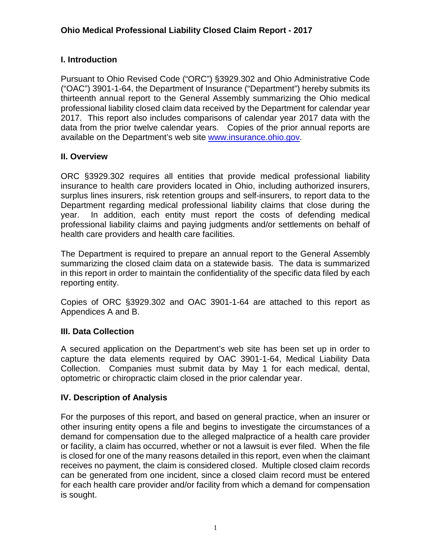### **I. Introduction**

Pursuant to Ohio Revised Code ("ORC") §3929.302 and Ohio Administrative Code ("OAC") 3901-1-64, the Department of Insurance ("Department") hereby submits its thirteenth annual report to the General Assembly summarizing the Ohio medical professional liability closed claim data received by the Department for calendar year 2017. This report also includes comparisons of calendar year 2017 data with the data from the prior twelve calendar years. Copies of the prior annual reports are available on the Department's web site [www.insurance.ohio.gov.](http://www.insurance.ohio.gov/)

### **II. Overview**

ORC §3929.302 requires all entities that provide medical professional liability insurance to health care providers located in Ohio, including authorized insurers, surplus lines insurers, risk retention groups and self-insurers, to report data to the Department regarding medical professional liability claims that close during the year. In addition, each entity must report the costs of defending medical professional liability claims and paying judgments and/or settlements on behalf of health care providers and health care facilities.

The Department is required to prepare an annual report to the General Assembly summarizing the closed claim data on a statewide basis. The data is summarized in this report in order to maintain the confidentiality of the specific data filed by each reporting entity.

Copies of ORC §3929.302 and OAC 3901-1-64 are attached to this report as Appendices A and B.

### **III. Data Collection**

A secured application on the Department's web site has been set up in order to capture the data elements required by OAC 3901-1-64, Medical Liability Data Collection. Companies must submit data by May 1 for each medical, dental, optometric or chiropractic claim closed in the prior calendar year.

### **IV. Description of Analysis**

For the purposes of this report, and based on general practice, when an insurer or other insuring entity opens a file and begins to investigate the circumstances of a demand for compensation due to the alleged malpractice of a health care provider or facility, a claim has occurred, whether or not a lawsuit is ever filed. When the file is closed for one of the many reasons detailed in this report, even when the claimant receives no payment, the claim is considered closed. Multiple closed claim records can be generated from one incident, since a closed claim record must be entered for each health care provider and/or facility from which a demand for compensation is sought.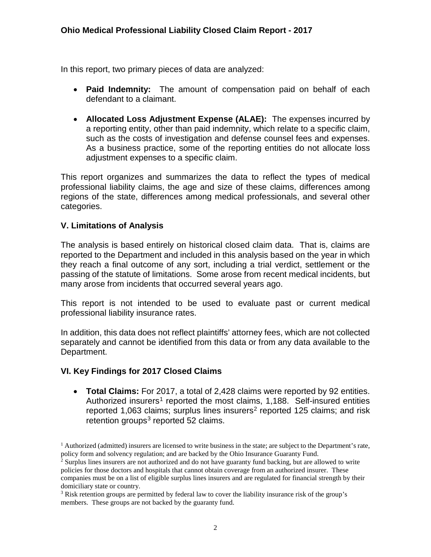In this report, two primary pieces of data are analyzed:

- **Paid Indemnity:** The amount of compensation paid on behalf of each defendant to a claimant.
- **Allocated Loss Adjustment Expense (ALAE):** The expenses incurred by a reporting entity, other than paid indemnity, which relate to a specific claim, such as the costs of investigation and defense counsel fees and expenses. As a business practice, some of the reporting entities do not allocate loss adjustment expenses to a specific claim.

This report organizes and summarizes the data to reflect the types of medical professional liability claims, the age and size of these claims, differences among regions of the state, differences among medical professionals, and several other categories.

### **V. Limitations of Analysis**

The analysis is based entirely on historical closed claim data. That is, claims are reported to the Department and included in this analysis based on the year in which they reach a final outcome of any sort, including a trial verdict, settlement or the passing of the statute of limitations. Some arose from recent medical incidents, but many arose from incidents that occurred several years ago.

This report is not intended to be used to evaluate past or current medical professional liability insurance rates.

In addition, this data does not reflect plaintiffs' attorney fees, which are not collected separately and cannot be identified from this data or from any data available to the Department.

### **VI. Key Findings for 2017 Closed Claims**

• **Total Claims:** For 2017, a total of 2,428 claims were reported by 92 entities. Authorized insurers<sup>[1](#page-2-0)</sup> reported the most claims, 1,188. Self-insured entities reported 1,063 claims; surplus lines insurers<sup>[2](#page-2-1)</sup> reported 125 claims; and risk retention groups $3$  reported 52 claims.

<span id="page-2-0"></span> $<sup>1</sup>$  Authorized (admitted) insurers are licensed to write business in the state; are subject to the Department's rate,</sup> policy form and solvency regulation; and are backed by the Ohio Insurance Guaranty Fund.

<span id="page-2-1"></span><sup>2</sup> Surplus lines insurers are not authorized and do not have guaranty fund backing, but are allowed to write policies for those doctors and hospitals that cannot obtain coverage from an authorized insurer. These companies must be on a list of eligible surplus lines insurers and are regulated for financial strength by their domiciliary state or country.

<span id="page-2-2"></span><sup>3</sup> Risk retention groups are permitted by federal law to cover the liability insurance risk of the group's members. These groups are not backed by the guaranty fund.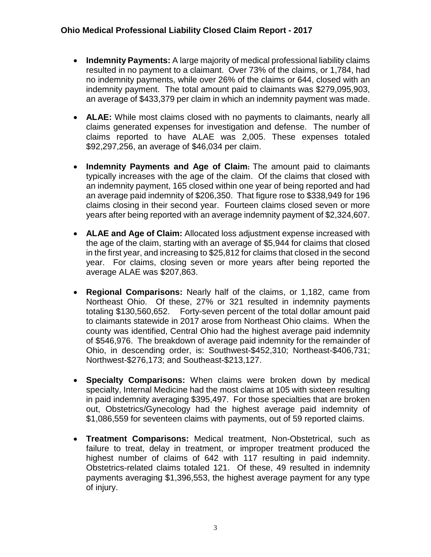- **Indemnity Payments:** A large majority of medical professional liability claims resulted in no payment to a claimant. Over 73% of the claims, or 1,784, had no indemnity payments, while over 26% of the claims or 644, closed with an indemnity payment. The total amount paid to claimants was \$279,095,903, an average of \$433,379 per claim in which an indemnity payment was made.
- **ALAE:** While most claims closed with no payments to claimants, nearly all claims generated expenses for investigation and defense. The number of claims reported to have ALAE was 2,005. These expenses totaled \$92,297,256, an average of \$46,034 per claim.
- **Indemnity Payments and Age of Claim:** The amount paid to claimants typically increases with the age of the claim. Of the claims that closed with an indemnity payment, 165 closed within one year of being reported and had an average paid indemnity of \$206,350. That figure rose to \$338,949 for 196 claims closing in their second year. Fourteen claims closed seven or more years after being reported with an average indemnity payment of \$2,324,607.
- **ALAE and Age of Claim:** Allocated loss adjustment expense increased with the age of the claim, starting with an average of \$5,944 for claims that closed in the first year, and increasing to \$25,812 for claims that closed in the second year. For claims, closing seven or more years after being reported the average ALAE was \$207,863.
- **Regional Comparisons:** Nearly half of the claims, or 1,182, came from Northeast Ohio. Of these, 27% or 321 resulted in indemnity payments totaling \$130,560,652. Forty-seven percent of the total dollar amount paid to claimants statewide in 2017 arose from Northeast Ohio claims. When the county was identified, Central Ohio had the highest average paid indemnity of \$546,976. The breakdown of average paid indemnity for the remainder of Ohio, in descending order, is: Southwest-\$452,310; Northeast-\$406,731; Northwest-\$276,173; and Southeast-\$213,127.
- **Specialty Comparisons:** When claims were broken down by medical specialty, Internal Medicine had the most claims at 105 with sixteen resulting in paid indemnity averaging \$395,497. For those specialties that are broken out, Obstetrics/Gynecology had the highest average paid indemnity of \$1,086,559 for seventeen claims with payments, out of 59 reported claims.
- **Treatment Comparisons:** Medical treatment, Non-Obstetrical, such as failure to treat, delay in treatment, or improper treatment produced the highest number of claims of 642 with 117 resulting in paid indemnity. Obstetrics-related claims totaled 121. Of these, 49 resulted in indemnity payments averaging \$1,396,553, the highest average payment for any type of injury.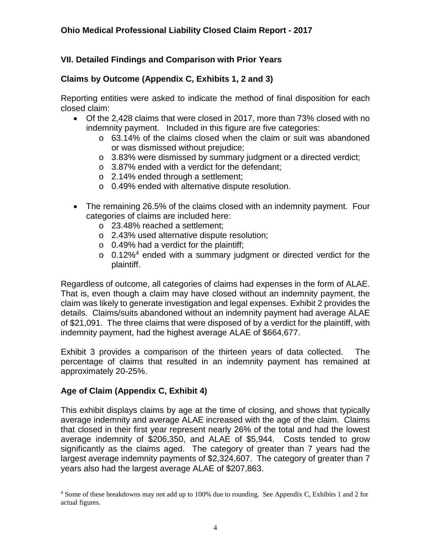### **VII. Detailed Findings and Comparison with Prior Years**

### **Claims by Outcome (Appendix C, Exhibits 1, 2 and 3)**

Reporting entities were asked to indicate the method of final disposition for each closed claim:

- Of the 2,428 claims that were closed in 2017, more than 73% closed with no indemnity payment. Included in this figure are five categories:
	- o 63.14% of the claims closed when the claim or suit was abandoned or was dismissed without prejudice;
	- o 3.83% were dismissed by summary judgment or a directed verdict;
	- $\circ$  3.87% ended with a verdict for the defendant:
	- o 2.14% ended through a settlement;
	- o 0.49% ended with alternative dispute resolution.
- The remaining 26.5% of the claims closed with an indemnity payment. Four categories of claims are included here:
	- o 23.48% reached a settlement;
	- o 2.43% used alternative dispute resolution;
	- $\circ$  0.49% had a verdict for the plaintiff;
	- $\circ$  0.12%<sup>[4](#page-4-0)</sup> ended with a summary judgment or directed verdict for the plaintiff.

Regardless of outcome, all categories of claims had expenses in the form of ALAE. That is, even though a claim may have closed without an indemnity payment, the claim was likely to generate investigation and legal expenses. Exhibit 2 provides the details. Claims/suits abandoned without an indemnity payment had average ALAE of \$21,091. The three claims that were disposed of by a verdict for the plaintiff, with indemnity payment, had the highest average ALAE of \$664,677.

Exhibit 3 provides a comparison of the thirteen years of data collected. The percentage of claims that resulted in an indemnity payment has remained at approximately 20-25%.

### **Age of Claim (Appendix C, Exhibit 4)**

This exhibit displays claims by age at the time of closing, and shows that typically average indemnity and average ALAE increased with the age of the claim. Claims that closed in their first year represent nearly 26% of the total and had the lowest average indemnity of \$206,350, and ALAE of \$5,944. Costs tended to grow significantly as the claims aged. The category of greater than 7 years had the largest average indemnity payments of \$2,324,607. The category of greater than 7 years also had the largest average ALAE of \$207,863.

<span id="page-4-0"></span><sup>4</sup> Some of these breakdowns may not add up to 100% due to rounding. See Appendix C, Exhibits 1 and 2 for actual figures.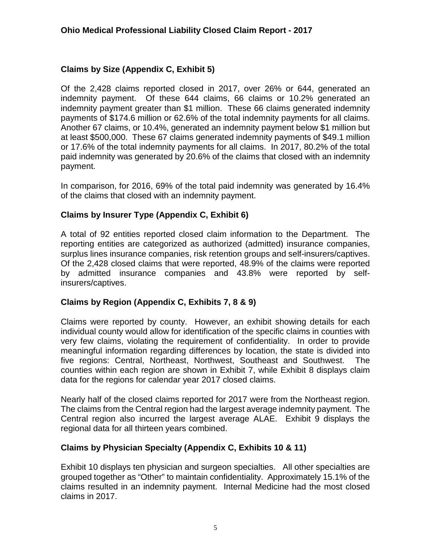#### **Claims by Size (Appendix C, Exhibit 5)**

Of the 2,428 claims reported closed in 2017, over 26% or 644, generated an indemnity payment. Of these 644 claims, 66 claims or 10.2% generated an indemnity payment greater than \$1 million. These 66 claims generated indemnity payments of \$174.6 million or 62.6% of the total indemnity payments for all claims. Another 67 claims, or 10.4%, generated an indemnity payment below \$1 million but at least \$500,000. These 67 claims generated indemnity payments of \$49.1 million or 17.6% of the total indemnity payments for all claims. In 2017, 80.2% of the total paid indemnity was generated by 20.6% of the claims that closed with an indemnity payment.

In comparison, for 2016, 69% of the total paid indemnity was generated by 16.4% of the claims that closed with an indemnity payment.

#### **Claims by Insurer Type (Appendix C, Exhibit 6)**

A total of 92 entities reported closed claim information to the Department. The reporting entities are categorized as authorized (admitted) insurance companies, surplus lines insurance companies, risk retention groups and self-insurers/captives. Of the 2,428 closed claims that were reported, 48.9% of the claims were reported by admitted insurance companies and 43.8% were reported by selfinsurers/captives.

#### **Claims by Region (Appendix C, Exhibits 7, 8 & 9)**

Claims were reported by county. However, an exhibit showing details for each individual county would allow for identification of the specific claims in counties with very few claims, violating the requirement of confidentiality. In order to provide meaningful information regarding differences by location, the state is divided into five regions: Central, Northeast, Northwest, Southeast and Southwest. The counties within each region are shown in Exhibit 7, while Exhibit 8 displays claim data for the regions for calendar year 2017 closed claims.

Nearly half of the closed claims reported for 2017 were from the Northeast region. The claims from the Central region had the largest average indemnity payment. The Central region also incurred the largest average ALAE. Exhibit 9 displays the regional data for all thirteen years combined.

#### **Claims by Physician Specialty (Appendix C, Exhibits 10 & 11)**

Exhibit 10 displays ten physician and surgeon specialties. All other specialties are grouped together as "Other" to maintain confidentiality. Approximately 15.1% of the claims resulted in an indemnity payment. Internal Medicine had the most closed claims in 2017.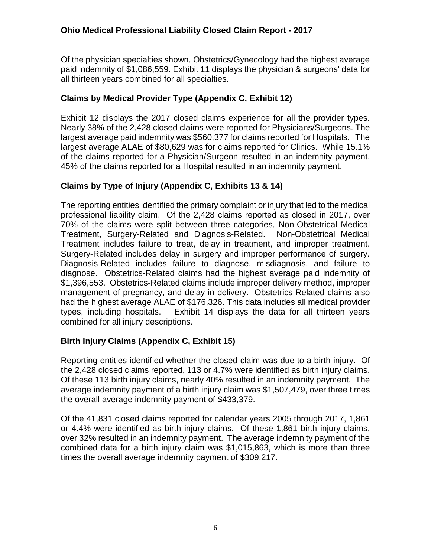Of the physician specialties shown, Obstetrics/Gynecology had the highest average paid indemnity of \$1,086,559. Exhibit 11 displays the physician & surgeons' data for all thirteen years combined for all specialties.

### **Claims by Medical Provider Type (Appendix C, Exhibit 12)**

Exhibit 12 displays the 2017 closed claims experience for all the provider types. Nearly 38% of the 2,428 closed claims were reported for Physicians/Surgeons. The largest average paid indemnity was \$560,377 for claims reported for Hospitals. The largest average ALAE of \$80,629 was for claims reported for Clinics. While 15.1% of the claims reported for a Physician/Surgeon resulted in an indemnity payment, 45% of the claims reported for a Hospital resulted in an indemnity payment.

### **Claims by Type of Injury (Appendix C, Exhibits 13 & 14)**

The reporting entities identified the primary complaint or injury that led to the medical professional liability claim. Of the 2,428 claims reported as closed in 2017, over 70% of the claims were split between three categories, Non-Obstetrical Medical Treatment, Surgery-Related and Diagnosis-Related. Non-Obstetrical Medical Treatment includes failure to treat, delay in treatment, and improper treatment. Surgery-Related includes delay in surgery and improper performance of surgery. Diagnosis-Related includes failure to diagnose, misdiagnosis, and failure to diagnose. Obstetrics-Related claims had the highest average paid indemnity of \$1,396,553. Obstetrics-Related claims include improper delivery method, improper management of pregnancy, and delay in delivery. Obstetrics-Related claims also had the highest average ALAE of \$176,326. This data includes all medical provider types, including hospitals. Exhibit 14 displays the data for all thirteen years combined for all injury descriptions.

### **Birth Injury Claims (Appendix C, Exhibit 15)**

Reporting entities identified whether the closed claim was due to a birth injury. Of the 2,428 closed claims reported, 113 or 4.7% were identified as birth injury claims. Of these 113 birth injury claims, nearly 40% resulted in an indemnity payment. The average indemnity payment of a birth injury claim was \$1,507,479, over three times the overall average indemnity payment of \$433,379.

Of the 41,831 closed claims reported for calendar years 2005 through 2017, 1,861 or 4.4% were identified as birth injury claims. Of these 1,861 birth injury claims, over 32% resulted in an indemnity payment. The average indemnity payment of the combined data for a birth injury claim was \$1,015,863, which is more than three times the overall average indemnity payment of \$309,217.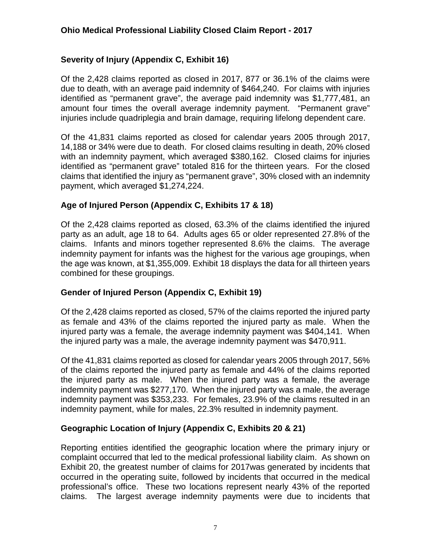### **Severity of Injury (Appendix C, Exhibit 16)**

Of the 2,428 claims reported as closed in 2017, 877 or 36.1% of the claims were due to death, with an average paid indemnity of \$464,240. For claims with injuries identified as "permanent grave", the average paid indemnity was \$1,777,481, an amount four times the overall average indemnity payment. "Permanent grave" injuries include quadriplegia and brain damage, requiring lifelong dependent care.

Of the 41,831 claims reported as closed for calendar years 2005 through 2017, 14,188 or 34% were due to death. For closed claims resulting in death, 20% closed with an indemnity payment, which averaged \$380,162. Closed claims for injuries identified as "permanent grave" totaled 816 for the thirteen years. For the closed claims that identified the injury as "permanent grave", 30% closed with an indemnity payment, which averaged \$1,274,224.

### **Age of Injured Person (Appendix C, Exhibits 17 & 18)**

Of the 2,428 claims reported as closed, 63.3% of the claims identified the injured party as an adult, age 18 to 64. Adults ages 65 or older represented 27.8% of the claims. Infants and minors together represented 8.6% the claims. The average indemnity payment for infants was the highest for the various age groupings, when the age was known, at \$1,355,009. Exhibit 18 displays the data for all thirteen years combined for these groupings.

### **Gender of Injured Person (Appendix C, Exhibit 19)**

Of the 2,428 claims reported as closed, 57% of the claims reported the injured party as female and 43% of the claims reported the injured party as male. When the injured party was a female, the average indemnity payment was \$404,141. When the injured party was a male, the average indemnity payment was \$470,911.

Of the 41,831 claims reported as closed for calendar years 2005 through 2017, 56% of the claims reported the injured party as female and 44% of the claims reported the injured party as male. When the injured party was a female, the average indemnity payment was \$277,170. When the injured party was a male, the average indemnity payment was \$353,233. For females, 23.9% of the claims resulted in an indemnity payment, while for males, 22.3% resulted in indemnity payment.

### **Geographic Location of Injury (Appendix C, Exhibits 20 & 21)**

Reporting entities identified the geographic location where the primary injury or complaint occurred that led to the medical professional liability claim. As shown on Exhibit 20, the greatest number of claims for 2017was generated by incidents that occurred in the operating suite, followed by incidents that occurred in the medical professional's office. These two locations represent nearly 43% of the reported claims. The largest average indemnity payments were due to incidents that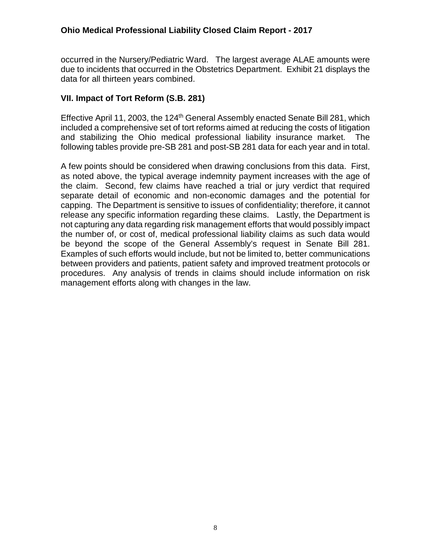occurred in the Nursery/Pediatric Ward. The largest average ALAE amounts were due to incidents that occurred in the Obstetrics Department. Exhibit 21 displays the data for all thirteen years combined.

#### **VII. Impact of Tort Reform (S.B. 281)**

Effective April 11, 2003, the 124<sup>th</sup> General Assembly enacted Senate Bill 281, which included a comprehensive set of tort reforms aimed at reducing the costs of litigation and stabilizing the Ohio medical professional liability insurance market. The following tables provide pre-SB 281 and post-SB 281 data for each year and in total.

A few points should be considered when drawing conclusions from this data. First, as noted above, the typical average indemnity payment increases with the age of the claim. Second, few claims have reached a trial or jury verdict that required separate detail of economic and non-economic damages and the potential for capping. The Department is sensitive to issues of confidentiality; therefore, it cannot release any specific information regarding these claims. Lastly, the Department is not capturing any data regarding risk management efforts that would possibly impact the number of, or cost of, medical professional liability claims as such data would be beyond the scope of the General Assembly's request in Senate Bill 281. Examples of such efforts would include, but not be limited to, better communications between providers and patients, patient safety and improved treatment protocols or procedures. Any analysis of trends in claims should include information on risk management efforts along with changes in the law.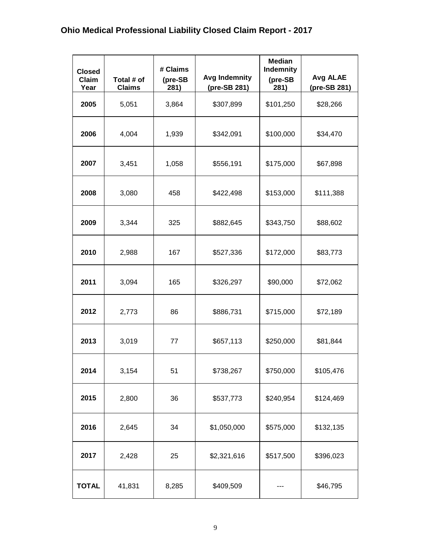| <b>Closed</b><br>Claim<br>Year | Total # of<br><b>Claims</b> | # Claims<br>(pre-SB<br>281) | <b>Avg Indemnity</b><br>(pre-SB 281) | <b>Median</b><br><b>Indemnity</b><br>(pre-SB<br>281) | Avg ALAE<br>(pre-SB 281) |
|--------------------------------|-----------------------------|-----------------------------|--------------------------------------|------------------------------------------------------|--------------------------|
| 2005                           | 5,051                       | 3,864                       | \$307,899                            | \$101,250                                            | \$28,266                 |
| 2006                           | 4,004                       | 1,939                       | \$342,091                            | \$100,000                                            | \$34,470                 |
| 2007                           | 3,451                       | 1,058                       | \$556,191                            | \$175,000                                            | \$67,898                 |
| 2008                           | 3,080                       | 458                         | \$422,498                            | \$153,000                                            | \$111,388                |
| 2009                           | 3,344                       | 325                         | \$882,645                            | \$343,750                                            | \$88,602                 |
| 2010                           | 2,988                       | 167                         | \$527,336                            | \$172,000                                            | \$83,773                 |
| 2011                           | 3,094                       | 165                         | \$326,297                            | \$90,000                                             | \$72,062                 |
| 2012                           | 2,773                       | 86                          | \$886,731                            | \$715,000                                            | \$72,189                 |
| 2013                           | 3,019                       | 77                          | \$657,113                            | \$250,000                                            | \$81,844                 |
| 2014                           | 3,154                       | 51                          | \$738,267                            | \$750,000                                            | \$105,476                |
| 2015                           | 2,800                       | 36                          | \$537,773                            | \$240,954                                            | \$124,469                |
| 2016                           | 2,645                       | 34                          | \$1,050,000                          | \$575,000                                            | \$132,135                |
| 2017                           | 2,428                       | 25                          | \$2,321,616                          | \$517,500                                            | \$396,023                |
| <b>TOTAL</b>                   | 41,831                      | 8,285                       | \$409,509                            |                                                      | \$46,795                 |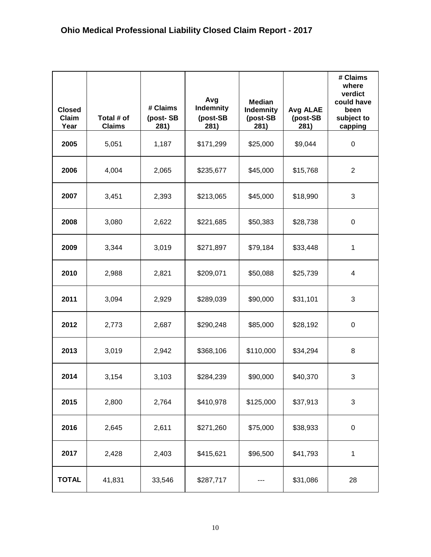| <b>Closed</b><br><b>Claim</b><br>Year | Total # of<br><b>Claims</b> | # Claims<br>(post-SB<br>281) | Avg<br>Indemnity<br>(post-SB<br>281) | <b>Median</b><br>Indemnity<br>(post-SB<br>281) | <b>Avg ALAE</b><br>(post-SB<br>281) | # Claims<br>where<br>verdict<br>could have<br>been<br>subject to<br>capping |
|---------------------------------------|-----------------------------|------------------------------|--------------------------------------|------------------------------------------------|-------------------------------------|-----------------------------------------------------------------------------|
| 2005                                  | 5,051                       | 1,187                        | \$171,299                            | \$25,000                                       | \$9,044                             | $\mathbf 0$                                                                 |
| 2006                                  | 4,004                       | 2,065                        | \$235,677                            | \$45,000                                       | \$15,768                            | $\overline{2}$                                                              |
| 2007                                  | 3,451                       | 2,393                        | \$213,065                            | \$45,000                                       | \$18,990                            | 3                                                                           |
| 2008                                  | 3,080                       | 2,622                        | \$221,685                            | \$50,383                                       | \$28,738                            | 0                                                                           |
| 2009                                  | 3,344                       | 3,019                        | \$271,897                            | \$79,184                                       | \$33,448                            | 1                                                                           |
| 2010                                  | 2,988                       | 2,821                        | \$209,071                            | \$50,088                                       | \$25,739                            | 4                                                                           |
| 2011                                  | 3,094                       | 2,929                        | \$289,039                            | \$90,000                                       | \$31,101                            | 3                                                                           |
| 2012                                  | 2,773                       | 2,687                        | \$290,248                            | \$85,000                                       | \$28,192                            | 0                                                                           |
| 2013                                  | 3,019                       | 2,942                        | \$368,106                            | \$110,000                                      | \$34,294                            | 8                                                                           |
| 2014                                  | 3,154                       | 3,103                        | \$284,239                            | \$90,000                                       | \$40,370                            | 3                                                                           |
| 2015                                  | 2,800                       | 2,764                        | \$410,978                            | \$125,000                                      | \$37,913                            | 3                                                                           |
| 2016                                  | 2,645                       | 2,611                        | \$271,260                            | \$75,000                                       | \$38,933                            | $\mathbf 0$                                                                 |
| 2017                                  | 2,428                       | 2,403                        | \$415,621                            | \$96,500                                       | \$41,793                            | 1                                                                           |
| <b>TOTAL</b>                          | 41,831                      | 33,546                       | \$287,717                            |                                                | \$31,086                            | 28                                                                          |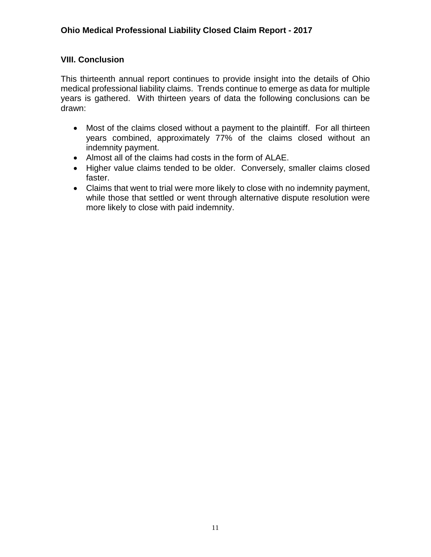### **VIII. Conclusion**

This thirteenth annual report continues to provide insight into the details of Ohio medical professional liability claims. Trends continue to emerge as data for multiple years is gathered. With thirteen years of data the following conclusions can be drawn:

- Most of the claims closed without a payment to the plaintiff. For all thirteen years combined, approximately 77% of the claims closed without an indemnity payment.
- Almost all of the claims had costs in the form of ALAE.
- Higher value claims tended to be older. Conversely, smaller claims closed faster.
- Claims that went to trial were more likely to close with no indemnity payment, while those that settled or went through alternative dispute resolution were more likely to close with paid indemnity.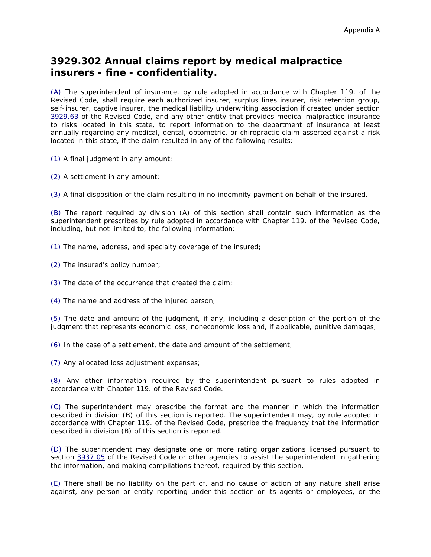## **3929.302 Annual claims report by medical malpractice insurers - fine - confidentiality.**

(A) The superintendent of insurance, by rule adopted in accordance with Chapter 119. of the Revised Code, shall require each authorized insurer, surplus lines insurer, risk retention group, self-insurer, captive insurer, the medical liability underwriting association if created under section [3929.63](http://codes.ohio.gov/orc/3929.63) of the Revised Code, and any other entity that provides medical malpractice insurance to risks located in this state, to report information to the department of insurance at least annually regarding any medical, dental, optometric, or chiropractic claim asserted against a risk located in this state, if the claim resulted in any of the following results:

(1) A final judgment in any amount;

(2) A settlement in any amount;

(3) A final disposition of the claim resulting in no indemnity payment on behalf of the insured.

(B) The report required by division (A) of this section shall contain such information as the superintendent prescribes by rule adopted in accordance with Chapter 119. of the Revised Code, including, but not limited to, the following information:

(1) The name, address, and specialty coverage of the insured;

(2) The insured's policy number;

(3) The date of the occurrence that created the claim;

(4) The name and address of the injured person;

(5) The date and amount of the judgment, if any, including a description of the portion of the judgment that represents economic loss, noneconomic loss and, if applicable, punitive damages;

(6) In the case of a settlement, the date and amount of the settlement;

(7) Any allocated loss adjustment expenses;

(8) Any other information required by the superintendent pursuant to rules adopted in accordance with Chapter 119. of the Revised Code.

(C) The superintendent may prescribe the format and the manner in which the information described in division (B) of this section is reported. The superintendent may, by rule adopted in accordance with Chapter 119. of the Revised Code, prescribe the frequency that the information described in division (B) of this section is reported.

(D) The superintendent may designate one or more rating organizations licensed pursuant to section [3937.05](http://codes.ohio.gov/orc/3937.05) of the Revised Code or other agencies to assist the superintendent in gathering the information, and making compilations thereof, required by this section.

(E) There shall be no liability on the part of, and no cause of action of any nature shall arise against, any person or entity reporting under this section or its agents or employees, or the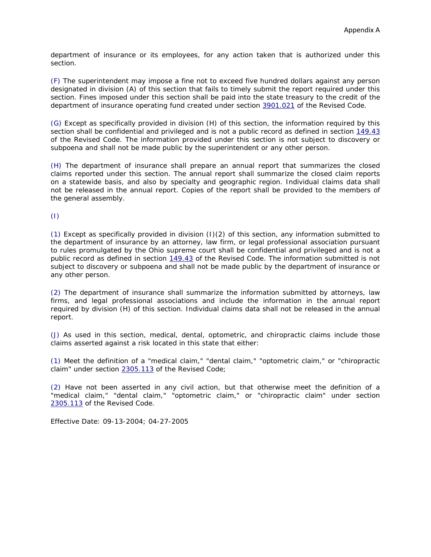department of insurance or its employees, for any action taken that is authorized under this section.

(F) The superintendent may impose a fine not to exceed five hundred dollars against any person designated in division (A) of this section that fails to timely submit the report required under this section. Fines imposed under this section shall be paid into the state treasury to the credit of the department of insurance operating fund created under section [3901.021](http://codes.ohio.gov/orc/3901.021) of the Revised Code.

(G) Except as specifically provided in division (H) of this section, the information required by this section shall be confidential and privileged and is not a public record as defined in section [149.43](http://codes.ohio.gov/orc/149.43) of the Revised Code. The information provided under this section is not subject to discovery or subpoena and shall not be made public by the superintendent or any other person.

(H) The department of insurance shall prepare an annual report that summarizes the closed claims reported under this section. The annual report shall summarize the closed claim reports on a statewide basis, and also by specialty and geographic region. Individual claims data shall not be released in the annual report. Copies of the report shall be provided to the members of the general assembly.

(I)

(1) Except as specifically provided in division (I)(2) of this section, any information submitted to the department of insurance by an attorney, law firm, or legal professional association pursuant to rules promulgated by the Ohio supreme court shall be confidential and privileged and is not a public record as defined in section [149.43](http://codes.ohio.gov/orc/149.43) of the Revised Code. The information submitted is not subject to discovery or subpoena and shall not be made public by the department of insurance or any other person.

(2) The department of insurance shall summarize the information submitted by attorneys, law firms, and legal professional associations and include the information in the annual report required by division (H) of this section. Individual claims data shall not be released in the annual report.

(J) As used in this section, medical, dental, optometric, and chiropractic claims include those claims asserted against a risk located in this state that either:

(1) Meet the definition of a "medical claim," "dental claim," "optometric claim," or "chiropractic claim" under section [2305.113](http://codes.ohio.gov/orc/2305.113) of the Revised Code;

(2) Have not been asserted in any civil action, but that otherwise meet the definition of a "medical claim," "dental claim," "optometric claim," or "chiropractic claim" under section [2305.113](http://codes.ohio.gov/orc/2305.113) of the Revised Code.

Effective Date: 09-13-2004; 04-27-2005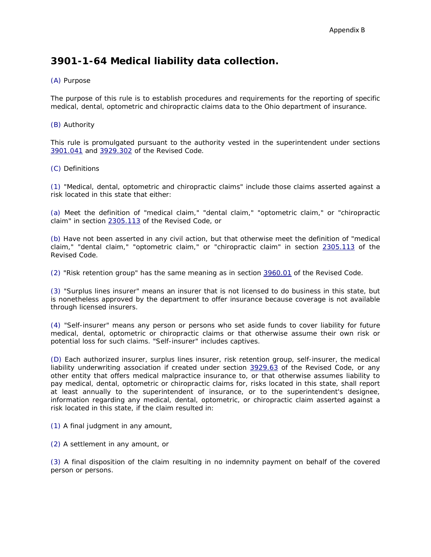## **3901-1-64 Medical liability data collection.**

#### (A) Purpose

The purpose of this rule is to establish procedures and requirements for the reporting of specific medical, dental, optometric and chiropractic claims data to the Ohio department of insurance.

#### (B) Authority

This rule is promulgated pursuant to the authority vested in the superintendent under sections [3901.041](http://codes.ohio.gov/orc/3901.041) and [3929.302](http://codes.ohio.gov/orc/3929.302) of the Revised Code.

#### (C) Definitions

(1) "Medical, dental, optometric and chiropractic claims" include those claims asserted against a risk located in this state that either:

(a) Meet the definition of "medical claim," "dental claim," "optometric claim," or "chiropractic claim" in section [2305.113](http://codes.ohio.gov/orc/2305.113) of the Revised Code, or

(b) Have not been asserted in any civil action, but that otherwise meet the definition of "medical claim," "dental claim," "optometric claim," or "chiropractic claim" in section [2305.113](http://codes.ohio.gov/orc/2305.113) of the Revised Code.

(2) "Risk retention group" has the same meaning as in section [3960.01](http://codes.ohio.gov/orc/3960.01) of the Revised Code.

(3) "Surplus lines insurer" means an insurer that is not licensed to do business in this state, but is nonetheless approved by the department to offer insurance because coverage is not available through licensed insurers.

(4) "Self-insurer" means any person or persons who set aside funds to cover liability for future medical, dental, optometric or chiropractic claims or that otherwise assume their own risk or potential loss for such claims. "Self-insurer" includes captives.

(D) Each authorized insurer, surplus lines insurer, risk retention group, self-insurer, the medical liability underwriting association if created under section [3929.63](http://codes.ohio.gov/orc/3929.63) of the Revised Code, or any other entity that offers medical malpractice insurance to, or that otherwise assumes liability to pay medical, dental, optometric or chiropractic claims for, risks located in this state, shall report at least annually to the superintendent of insurance, or to the superintendent's designee, information regarding any medical, dental, optometric, or chiropractic claim asserted against a risk located in this state, if the claim resulted in:

(1) A final judgment in any amount,

(2) A settlement in any amount, or

(3) A final disposition of the claim resulting in no indemnity payment on behalf of the covered person or persons.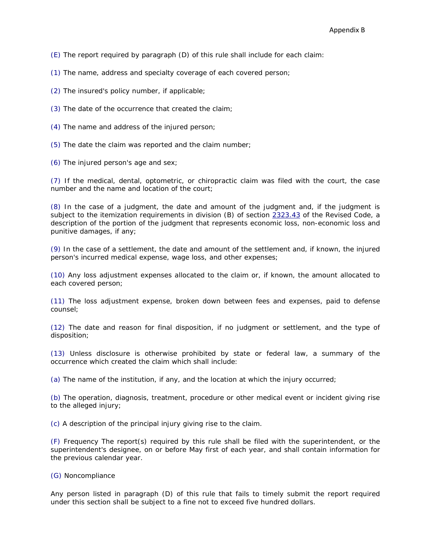(E) The report required by paragraph (D) of this rule shall include for each claim:

(1) The name, address and specialty coverage of each covered person;

(2) The insured's policy number, if applicable;

(3) The date of the occurrence that created the claim;

- (4) The name and address of the injured person;
- (5) The date the claim was reported and the claim number;

(6) The injured person's age and sex;

(7) If the medical, dental, optometric, or chiropractic claim was filed with the court, the case number and the name and location of the court;

(8) In the case of a judgment, the date and amount of the judgment and, if the judgment is subject to the itemization requirements in division (B) of section [2323.43](http://codes.ohio.gov/orc/2323.43) of the Revised Code, a description of the portion of the judgment that represents economic loss, non-economic loss and punitive damages, if any;

(9) In the case of a settlement, the date and amount of the settlement and, if known, the injured person's incurred medical expense, wage loss, and other expenses;

(10) Any loss adjustment expenses allocated to the claim or, if known, the amount allocated to each covered person;

(11) The loss adjustment expense, broken down between fees and expenses, paid to defense counsel;

(12) The date and reason for final disposition, if no judgment or settlement, and the type of disposition;

(13) Unless disclosure is otherwise prohibited by state or federal law, a summary of the occurrence which created the claim which shall include:

(a) The name of the institution, if any, and the location at which the injury occurred;

(b) The operation, diagnosis, treatment, procedure or other medical event or incident giving rise to the alleged injury;

(c) A description of the principal injury giving rise to the claim.

(F) Frequency The report(s) required by this rule shall be filed with the superintendent, or the superintendent's designee, on or before May first of each year, and shall contain information for the previous calendar year.

#### (G) Noncompliance

Any person listed in paragraph (D) of this rule that fails to timely submit the report required under this section shall be subject to a fine not to exceed five hundred dollars.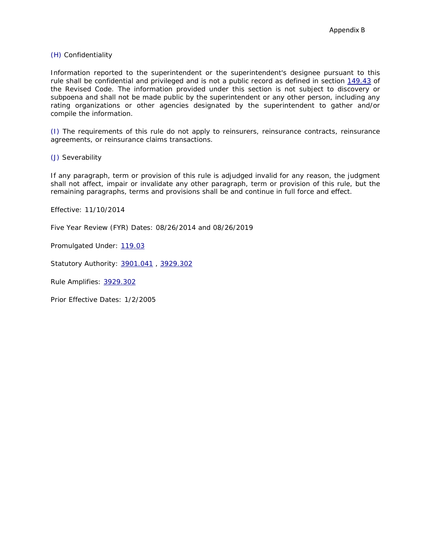#### (H) Confidentiality

Information reported to the superintendent or the superintendent's designee pursuant to this rule shall be confidential and privileged and is not a public record as defined in section [149.43](http://codes.ohio.gov/orc/149.43) of the Revised Code. The information provided under this section is not subject to discovery or subpoena and shall not be made public by the superintendent or any other person, including any rating organizations or other agencies designated by the superintendent to gather and/or compile the information.

(I) The requirements of this rule do not apply to reinsurers, reinsurance contracts, reinsurance agreements, or reinsurance claims transactions.

(J) Severability

If any paragraph, term or provision of this rule is adjudged invalid for any reason, the judgment shall not affect, impair or invalidate any other paragraph, term or provision of this rule, but the remaining paragraphs, terms and provisions shall be and continue in full force and effect.

Effective: 11/10/2014

Five Year Review (FYR) Dates: 08/26/2014 and 08/26/2019

Promulgated Under: [119.03](http://codes.ohio.gov/orc/119.03)

Statutory Authority: [3901.041](http://codes.ohio.gov/orc/3901.041) , [3929.302](http://codes.ohio.gov/orc/3929.302)

Rule Amplifies: [3929.302](http://codes.ohio.gov/orc/3929.302)

Prior Effective Dates: 1/2/2005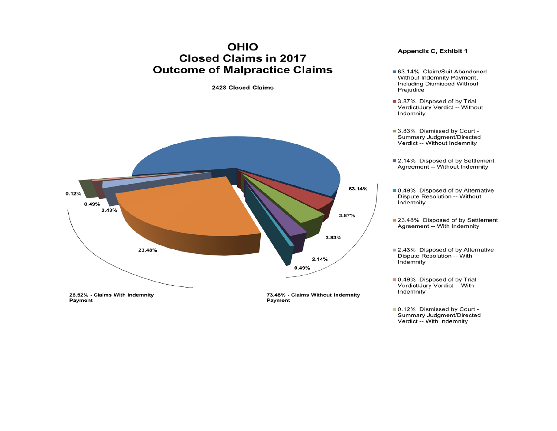## **OHIO Closed Claims in 2017 Outcome of Malpractice Claims**

2428 Closed Claims



#### **Appendix C, Exhibit 1**

- 63.14% Claim/Suit Abandoned Without Indemnity Payment, **Including Dismissed Without** Prejudice
- 3.87% Disposed of by Trial Verdict/Jury Verdict -- Without Indemnity
- 3.83% Dismissed by Court -Summary Judgment/Directed Verdict -- Without Indemnity
- 2.14% Disposed of by Settlement Agreement -- Without Indemnity
- 0.49% Disposed of by Alternative Dispute Resolution -- Without Indemnity
- 23.48% Disposed of by Settlement Agreement -- With Indemnity
- 2.43% Disposed of by Alternative Dispute Resolution -- With Indemnity

■ 0.49% Disposed of by Trial Verdict/Jury Verdict -- With Indemnity

■ 0.12% Dismissed by Court -Summary Judgment/Directed Verdict -- With Indemnity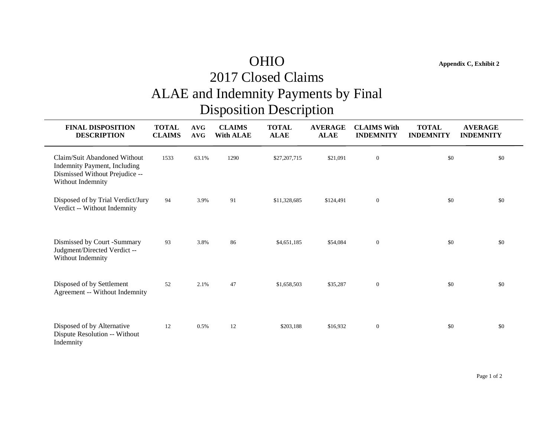## OHIO **Appendix C, Exhibit 2** 2017 Closed Claims ALAE and Indemnity Payments by Final Disposition Description

**FINAL DISPOSITION TOTAL AVG CLAIMS TOTAL AVERAGE CLAIMS With TOTAL AVERAGE DESCRIPTION CLAIMS AVG With ALAE ALAE ALAE INDEMNITY INDEMNITY INDEMNITY** Claim/Suit Abandoned Without 1533 63.1% 1290 \$27,207,715 \$21,091 0 \$0 \$0 \$0 \$0 Indemnity Payment, Including Dismissed Without Prejudice -- Without Indemnity Disposed of by Trial Verdict/Jury 94 3.9% 91 \$11,328,685 \$124,491 0 \$0 \$0 \$0 Verdict -- Without Indemnity Dismissed by Court -Summary 93 3.8% 86 \$4,651,185 \$54,084 0 \$0 \$0 \$0 Judgment/Directed Verdict -- Without Indemnity Disposed of by Settlement 52 2.1% 47 \$1,658,503 \$35,287 0 \$0 \$0 \$0 Agreement -- Without Indemnity Disposed of by Alternative 12 0.5% 12 \$203,188 \$16,932 0 \$0 \$0 \$0 Dispute Resolution -- Without Indemnity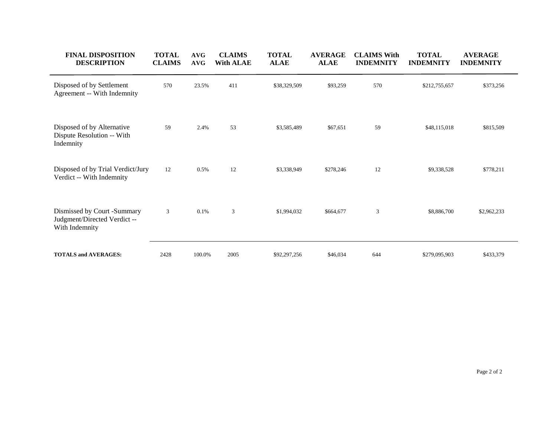| <b>FINAL DISPOSITION</b><br><b>DESCRIPTION</b>                              | <b>TOTAL</b><br><b>CLAIMS</b> | <b>AVG</b><br><b>AVG</b> | <b>CLAIMS</b><br><b>With ALAE</b> | <b>TOTAL</b><br><b>ALAE</b> | <b>AVERAGE</b><br><b>ALAE</b> | <b>CLAIMS With</b><br><b>INDEMNITY</b> | <b>TOTAL</b><br><b>INDEMNITY</b> | <b>AVERAGE</b><br><b>INDEMNITY</b> |
|-----------------------------------------------------------------------------|-------------------------------|--------------------------|-----------------------------------|-----------------------------|-------------------------------|----------------------------------------|----------------------------------|------------------------------------|
| Disposed of by Settlement<br>Agreement -- With Indemnity                    | 570                           | 23.5%                    | 411                               | \$38,329,509                | \$93,259                      | 570                                    | \$212,755,657                    | \$373,256                          |
| Disposed of by Alternative<br>Dispute Resolution -- With<br>Indemnity       | 59                            | 2.4%                     | 53                                | \$3,585,489                 | \$67,651                      | 59                                     | \$48,115,018                     | \$815,509                          |
| Disposed of by Trial Verdict/Jury<br>Verdict -- With Indemnity              | 12                            | 0.5%                     | 12                                | \$3,338,949                 | \$278,246                     | 12                                     | \$9,338,528                      | \$778,211                          |
| Dismissed by Court -Summary<br>Judgment/Directed Verdict-<br>With Indemnity | 3                             | 0.1%                     | 3                                 | \$1,994,032                 | \$664,677                     | $\mathfrak{Z}$                         | \$8,886,700                      | \$2,962,233                        |
| <b>TOTALS and AVERAGES:</b>                                                 | 2428                          | 100.0%                   | 2005                              | \$92,297,256                | \$46,034                      | 644                                    | \$279,095,903                    | \$433,379                          |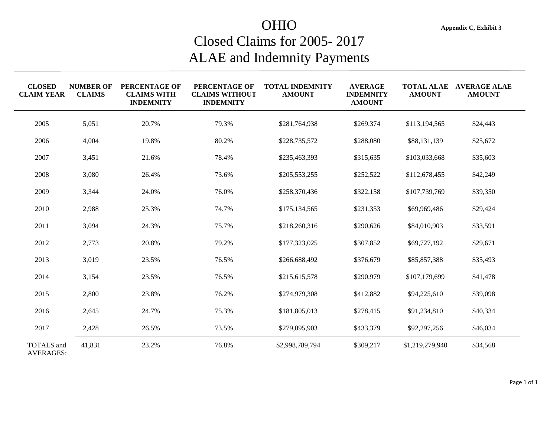## OHIO **Appendix C, Exhibit 3** Closed Claims for 2005- 2017 ALAE and Indemnity Payments

| <b>CLOSED</b><br><b>CLAIM YEAR</b> | <b>NUMBER OF</b><br><b>CLAIMS</b> | PERCENTAGE OF<br><b>CLAIMS WITH</b><br><b>INDEMNITY</b> | PERCENTAGE OF<br><b>CLAIMS WITHOUT</b><br><b>INDEMNITY</b> | <b>TOTAL INDEMNITY</b><br><b>AMOUNT</b> | <b>AVERAGE</b><br><b>INDEMNITY</b><br><b>AMOUNT</b> | <b>TOTAL ALAE</b><br><b>AMOUNT</b> | <b>AVERAGE ALAE</b><br><b>AMOUNT</b> |
|------------------------------------|-----------------------------------|---------------------------------------------------------|------------------------------------------------------------|-----------------------------------------|-----------------------------------------------------|------------------------------------|--------------------------------------|
| 2005                               | 5,051                             | 20.7%                                                   | 79.3%                                                      | \$281,764,938                           | \$269,374                                           | \$113,194,565                      | \$24,443                             |
| 2006                               | 4,004                             | 19.8%                                                   | 80.2%                                                      | \$228,735,572                           | \$288,080                                           | \$88,131,139                       | \$25,672                             |
| 2007                               | 3,451                             | 21.6%                                                   | 78.4%                                                      | \$235,463,393                           | \$315,635                                           | \$103,033,668                      | \$35,603                             |
| 2008                               | 3,080                             | 26.4%                                                   | 73.6%                                                      | \$205,553,255                           | \$252,522                                           | \$112,678,455                      | \$42,249                             |
| 2009                               | 3,344                             | 24.0%                                                   | 76.0%                                                      | \$258,370,436                           | \$322,158                                           | \$107,739,769                      | \$39,350                             |
| 2010                               | 2,988                             | 25.3%                                                   | 74.7%                                                      | \$175,134,565                           | \$231,353                                           | \$69,969,486                       | \$29,424                             |
| 2011                               | 3,094                             | 24.3%                                                   | 75.7%                                                      | \$218,260,316                           | \$290,626                                           | \$84,010,903                       | \$33,591                             |
| 2012                               | 2,773                             | 20.8%                                                   | 79.2%                                                      | \$177,323,025                           | \$307,852                                           | \$69,727,192                       | \$29,671                             |
| 2013                               | 3,019                             | 23.5%                                                   | 76.5%                                                      | \$266,688,492                           | \$376,679                                           | \$85,857,388                       | \$35,493                             |
| 2014                               | 3,154                             | 23.5%                                                   | 76.5%                                                      | \$215,615,578                           | \$290,979                                           | \$107,179,699                      | \$41,478                             |
| 2015                               | 2,800                             | 23.8%                                                   | 76.2%                                                      | \$274,979,308                           | \$412,882                                           | \$94,225,610                       | \$39,098                             |
| 2016                               | 2,645                             | 24.7%                                                   | 75.3%                                                      | \$181,805,013                           | \$278,415                                           | \$91,234,810                       | \$40,334                             |
| 2017                               | 2,428                             | 26.5%                                                   | 73.5%                                                      | \$279,095,903                           | \$433,379                                           | \$92,297,256                       | \$46,034                             |
| TOTALS and<br><b>AVERAGES:</b>     | 41,831                            | 23.2%                                                   | 76.8%                                                      | \$2,998,789,794                         | \$309,217                                           | \$1,219,279,940                    | \$34,568                             |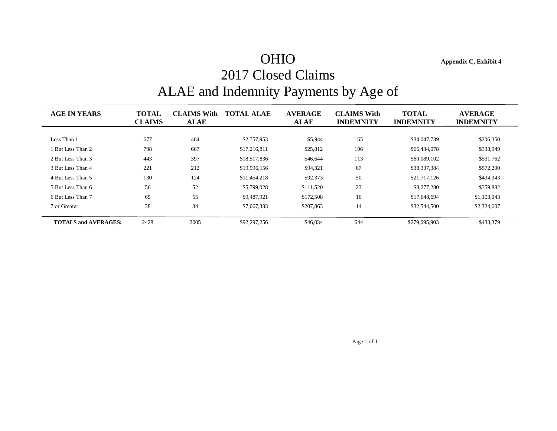## OHIO **Appendix C, Exhibit 4** 2017 Closed Claims ALAE and Indemnity Payments by Age of

| <b>AGE IN YEARS</b>         | <b>TOTAL</b><br><b>CLAIMS</b> | <b>CLAIMS With</b><br><b>ALAE</b> | <b>TOTAL ALAE</b> | <b>AVERAGE</b><br><b>ALAE</b> | <b>CLAIMS With</b><br><b>INDEMNITY</b> | <b>TOTAL</b><br><b>INDEMNITY</b> | <b>AVERAGE</b><br><b>INDEMNITY</b> |
|-----------------------------|-------------------------------|-----------------------------------|-------------------|-------------------------------|----------------------------------------|----------------------------------|------------------------------------|
|                             |                               |                                   |                   |                               |                                        |                                  |                                    |
| Less Than 1                 | 677                           | 464                               | \$2,757,953       | \$5,944                       | 165                                    | \$34,047,739                     | \$206.350                          |
| But Less Than 2             | 798                           | 667                               | \$17,216,811      | \$25,812                      | 196                                    | \$66,434,078                     | \$338,949                          |
| 2 But Less Than 3           | 443                           | 397                               | \$18,517,836      | \$46,644                      | 113                                    | \$60,089,102                     | \$531,762                          |
| 3 But Less Than 4           | 221                           | 212                               | \$19,996,156      | \$94,321                      | 67                                     | \$38,337,384                     | \$572,200                          |
| 4 But Less Than 5           | 130                           | 124                               | \$11,454,218      | \$92,373                      | 50                                     | \$21,717,126                     | \$434,343                          |
| 5 But Less Than 6           | 56                            | 52                                | \$5,799,028       | \$111,520                     | 23                                     | \$8,277,280                      | \$359,882                          |
| 6 But Less Than 7           | 65                            | 55                                | \$9,487,921       | \$172,508                     | 16                                     | \$17,648,694                     | \$1,103,043                        |
| 7 or Greater                | 38                            | 34                                | \$7,067,333       | \$207,863                     | 14                                     | \$32,544,500                     | \$2,324,607                        |
| <b>TOTALS and AVERAGES:</b> | 2428                          | 2005                              | \$92,297,256      | \$46,034                      | 644                                    | \$279,095,903                    | \$433,379                          |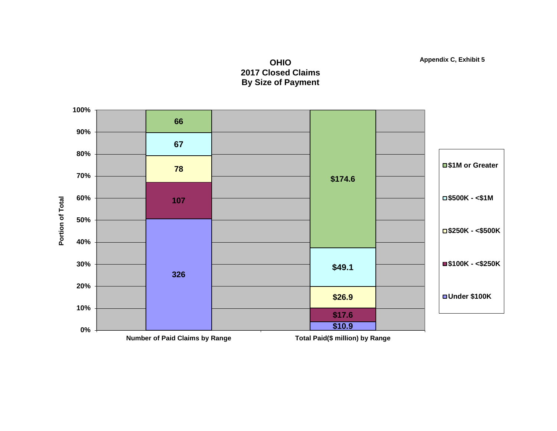



**Appendix C, Exhibit 5**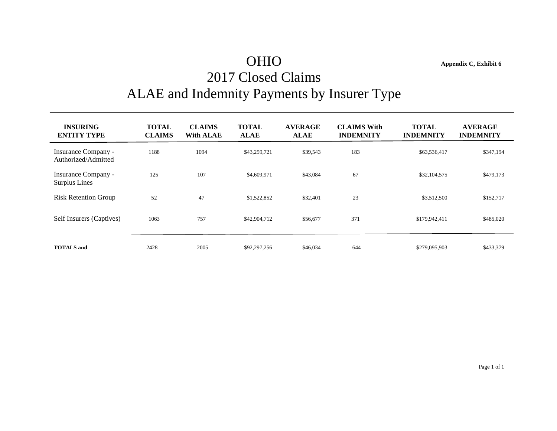## OHIO **Appendix C, Exhibit 6** 2017 Closed Claims ALAE and Indemnity Payments by Insurer Type

**INSURING TOTAL CLAIMS TOTAL AVERAGE CLAIMS With TOTAL AVERAGE ENTITY TYPE CLAIMS With ALAE ALAE ALAE INDEMNITY INDEMNITY INDEMNITY** Insurance Company - 1188 1094 \$43,259,721 \$39,543 183 \$63,536,417 \$347,194 Authorized/Admitted Insurance Company - 125 107 \$4,609,971 \$43,084 67 \$32,104,575 \$479,173 Surplus Lines Risk Retention Group 52 47 \$1,522,852 \$32,401 23 \$3,512,500 \$152,717 Self Insurers (Captives) 1063 757 \$42,904,712 \$56,677 371 \$179,942,411 \$485,020 **TOTALS and** 2428 2005 \$92,297,256 \$46,034 644 \$279,095,903 \$433,379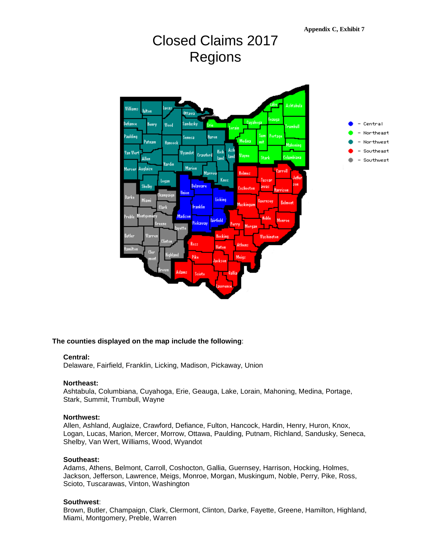

## Closed Claims 2017 Regions

#### **The counties displayed on the map include the following**:

#### **Central:**

Delaware, Fairfield, Franklin, Licking, Madison, Pickaway, Union

#### **Northeast:**

Ashtabula, Columbiana, Cuyahoga, Erie, Geauga, Lake, Lorain, Mahoning, Medina, Portage, Stark, Summit, Trumbull, Wayne

#### **Northwest:**

Allen, Ashland, Auglaize, Crawford, Defiance, Fulton, Hancock, Hardin, Henry, Huron, Knox, Logan, Lucas, Marion, Mercer, Morrow, Ottawa, Paulding, Putnam, Richland, Sandusky, Seneca, Shelby, Van Wert, Williams, Wood, Wyandot

#### **Southeast:**

Adams, Athens, Belmont, Carroll, Coshocton, Gallia, Guernsey, Harrison, Hocking, Holmes, Jackson, Jefferson, Lawrence, Meigs, Monroe, Morgan, Muskingum, Noble, Perry, Pike, Ross, Scioto, Tuscarawas, Vinton, Washington

#### **Southwest**:

Brown, Butler, Champaign, Clark, Clermont, Clinton, Darke, Fayette, Greene, Hamilton, Highland, Miami, Montgomery, Preble, Warren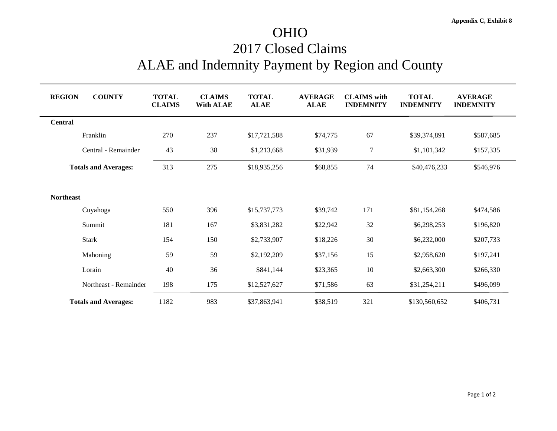## OHIO 2017 Closed Claims ALAE and Indemnity Payment by Region and County

| <b>COUNTY</b><br><b>REGION</b> | <b>TOTAL</b><br><b>CLAIMS</b> | <b>CLAIMS</b><br><b>With ALAE</b> | <b>TOTAL</b><br><b>ALAE</b> | <b>AVERAGE</b><br><b>ALAE</b> | <b>CLAIMS</b> with<br><b>INDEMNITY</b> | <b>TOTAL</b><br><b>INDEMNITY</b> | <b>AVERAGE</b><br><b>INDEMNITY</b> |
|--------------------------------|-------------------------------|-----------------------------------|-----------------------------|-------------------------------|----------------------------------------|----------------------------------|------------------------------------|
| <b>Central</b>                 |                               |                                   |                             |                               |                                        |                                  |                                    |
| Franklin                       | 270                           | 237                               | \$17,721,588                | \$74,775                      | 67                                     | \$39,374,891                     | \$587,685                          |
| Central - Remainder            | 43                            | 38                                | \$1,213,668                 | \$31,939                      | 7                                      | \$1,101,342                      | \$157,335                          |
| <b>Totals and Averages:</b>    | 313                           | 275                               | \$18,935,256                | \$68,855                      | 74                                     | \$40,476,233                     | \$546,976                          |
|                                |                               |                                   |                             |                               |                                        |                                  |                                    |
| <b>Northeast</b>               |                               |                                   |                             |                               |                                        |                                  |                                    |
| Cuyahoga                       | 550                           | 396                               | \$15,737,773                | \$39,742                      | 171                                    | \$81,154,268                     | \$474,586                          |
| Summit                         | 181                           | 167                               | \$3,831,282                 | \$22,942                      | 32                                     | \$6,298,253                      | \$196,820                          |
| <b>Stark</b>                   | 154                           | 150                               | \$2,733,907                 | \$18,226                      | 30                                     | \$6,232,000                      | \$207,733                          |
| Mahoning                       | 59                            | 59                                | \$2,192,209                 | \$37,156                      | 15                                     | \$2,958,620                      | \$197,241                          |
| Lorain                         | 40                            | 36                                | \$841,144                   | \$23,365                      | 10                                     | \$2,663,300                      | \$266,330                          |
| Northeast - Remainder          | 198                           | 175                               | \$12,527,627                | \$71,586                      | 63                                     | \$31,254,211                     | \$496,099                          |
| <b>Totals and Averages:</b>    | 1182                          | 983                               | \$37,863,941                | \$38,519                      | 321                                    | \$130,560,652                    | \$406,731                          |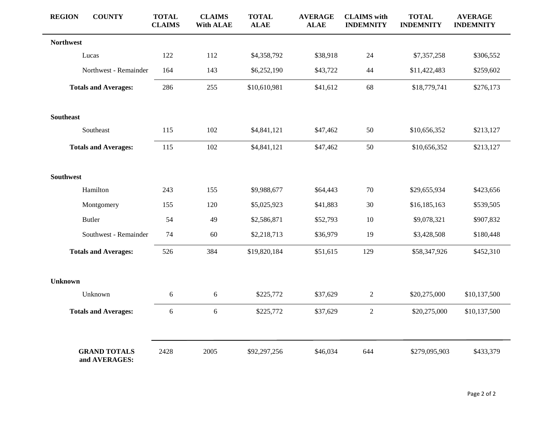| <b>REGION</b>    | <b>COUNTY</b>                        | <b>TOTAL</b><br><b>CLAIMS</b> | <b>CLAIMS</b><br><b>With ALAE</b> | <b>TOTAL</b><br><b>ALAE</b> | <b>AVERAGE</b><br><b>ALAE</b> | <b>CLAIMS</b> with<br><b>INDEMNITY</b> | <b>TOTAL</b><br><b>INDEMNITY</b> | <b>AVERAGE</b><br><b>INDEMNITY</b> |
|------------------|--------------------------------------|-------------------------------|-----------------------------------|-----------------------------|-------------------------------|----------------------------------------|----------------------------------|------------------------------------|
| <b>Northwest</b> |                                      |                               |                                   |                             |                               |                                        |                                  |                                    |
|                  | Lucas                                | 122                           | 112                               | \$4,358,792                 | \$38,918                      | 24                                     | \$7,357,258                      | \$306,552                          |
|                  | Northwest - Remainder                | 164                           | 143                               | \$6,252,190                 | \$43,722                      | $44$                                   | \$11,422,483                     | \$259,602                          |
|                  | <b>Totals and Averages:</b>          | 286                           | 255                               | \$10,610,981                | \$41,612                      | 68                                     | \$18,779,741                     | \$276,173                          |
| <b>Southeast</b> |                                      |                               |                                   |                             |                               |                                        |                                  |                                    |
|                  | Southeast                            | 115                           | 102                               | \$4,841,121                 | \$47,462                      | 50                                     | \$10,656,352                     | \$213,127                          |
|                  | <b>Totals and Averages:</b>          | 115                           | 102                               | \$4,841,121                 | \$47,462                      | 50                                     | \$10,656,352                     | \$213,127                          |
| <b>Southwest</b> |                                      |                               |                                   |                             |                               |                                        |                                  |                                    |
|                  | Hamilton                             | 243                           | 155                               | \$9,988,677                 | \$64,443                      | $70\,$                                 | \$29,655,934                     | \$423,656                          |
|                  | Montgomery                           | 155                           | 120                               | \$5,025,923                 | \$41,883                      | 30                                     | \$16,185,163                     | \$539,505                          |
|                  | <b>Butler</b>                        | 54                            | 49                                | \$2,586,871                 | \$52,793                      | 10                                     | \$9,078,321                      | \$907,832                          |
|                  | Southwest - Remainder                | 74                            | 60                                | \$2,218,713                 | \$36,979                      | 19                                     | \$3,428,508                      | \$180,448                          |
|                  | <b>Totals and Averages:</b>          | 526                           | 384                               | \$19,820,184                | \$51,615                      | 129                                    | \$58,347,926                     | \$452,310                          |
| <b>Unknown</b>   |                                      |                               |                                   |                             |                               |                                        |                                  |                                    |
|                  | Unknown                              | 6                             | 6                                 | \$225,772                   | \$37,629                      | $\overline{c}$                         | \$20,275,000                     | \$10,137,500                       |
|                  | <b>Totals and Averages:</b>          | 6                             | 6                                 | \$225,772                   | \$37,629                      | $\overline{c}$                         | \$20,275,000                     | \$10,137,500                       |
|                  |                                      |                               |                                   |                             |                               |                                        |                                  |                                    |
|                  | <b>GRAND TOTALS</b><br>and AVERAGES: | 2428                          | 2005                              | \$92,297,256                | \$46,034                      | 644                                    | \$279,095,903                    | \$433,379                          |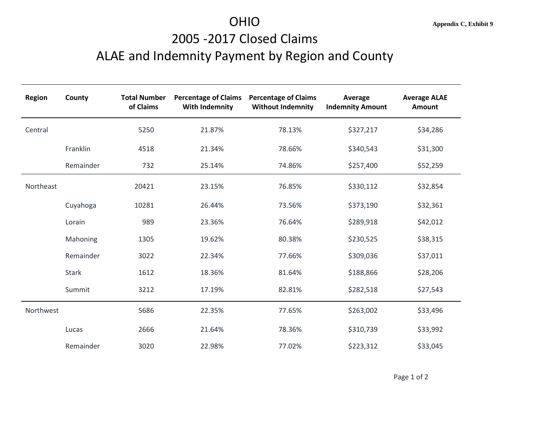# 2005 -2017 Closed Claims ALAE and Indemnity Payment by Region and County

| Region    | County       | <b>Total Number</b><br>of Claims | <b>Percentage of Claims</b><br><b>With Indemnity</b> | <b>Percentage of Claims</b><br><b>Without Indemnity</b> | Average<br><b>Indemnity Amount</b> | <b>Average ALAE</b><br>Amount |
|-----------|--------------|----------------------------------|------------------------------------------------------|---------------------------------------------------------|------------------------------------|-------------------------------|
| Central   |              | 5250                             | 21.87%                                               | 78.13%                                                  | \$327,217                          | \$34,286                      |
|           | Franklin     | 4518                             | 21.34%                                               | 78.66%                                                  | \$340,543                          | \$31,300                      |
|           | Remainder    | 732                              | 25.14%                                               | 74.86%                                                  | \$257,400                          | \$52,259                      |
| Northeast |              | 20421                            | 23.15%                                               | 76.85%                                                  | \$330,112                          | \$32,854                      |
|           | Cuyahoga     | 10281                            | 26.44%                                               | 73.56%                                                  | \$373,190                          | \$32,361                      |
|           | Lorain       | 989                              | 23.36%                                               | 76.64%                                                  | \$289,918                          | \$42,012                      |
|           | Mahoning     | 1305                             | 19.62%                                               | 80.38%                                                  | \$230,525                          | \$38,315                      |
|           | Remainder    | 3022                             | 22.34%                                               | 77.66%                                                  | \$309,036                          | \$37,011                      |
|           | <b>Stark</b> | 1612                             | 18.36%                                               | 81.64%                                                  | \$188,866                          | \$28,206                      |
|           | Summit       | 3212                             | 17.19%                                               | 82.81%                                                  | \$282,518                          | \$27,543                      |
| Northwest |              | 5686                             | 22.35%                                               | 77.65%                                                  | \$263,002                          | \$33,496                      |
|           | Lucas        | 2666                             | 21.64%                                               | 78.36%                                                  | \$310,739                          | \$33,992                      |
|           | Remainder    | 3020                             | 22.98%                                               | 77.02%                                                  | \$223,312                          | \$33,045                      |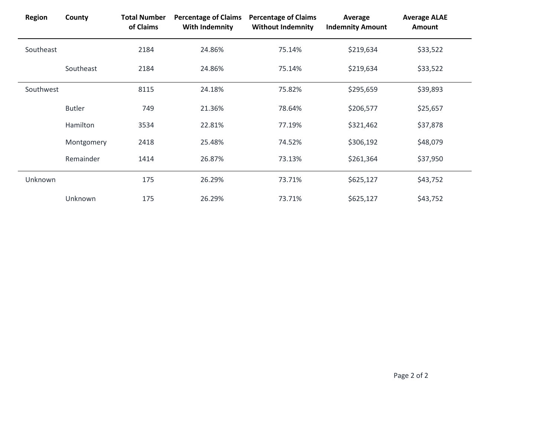| <b>Region</b> | County        | <b>Total Number</b><br>of Claims | <b>Percentage of Claims</b><br>With Indemnity | <b>Percentage of Claims</b><br><b>Without Indemnity</b> | Average<br><b>Indemnity Amount</b> | <b>Average ALAE</b><br>Amount |  |
|---------------|---------------|----------------------------------|-----------------------------------------------|---------------------------------------------------------|------------------------------------|-------------------------------|--|
| Southeast     |               | 2184                             | 24.86%                                        | 75.14%                                                  | \$219,634                          | \$33,522                      |  |
|               | Southeast     | 2184                             | 24.86%                                        | 75.14%                                                  | \$219,634                          | \$33,522                      |  |
| Southwest     |               | 8115                             | 24.18%                                        | 75.82%                                                  | \$295,659                          | \$39,893                      |  |
|               | <b>Butler</b> | 749                              | 21.36%                                        | 78.64%                                                  | \$206,577                          | \$25,657                      |  |
|               | Hamilton      | 3534                             | 22.81%                                        | 77.19%                                                  | \$321,462                          | \$37,878                      |  |
|               | Montgomery    | 2418                             | 25.48%                                        | 74.52%                                                  | \$306,192                          | \$48,079                      |  |
|               | Remainder     | 1414                             | 26.87%                                        | 73.13%                                                  | \$261,364                          | \$37,950                      |  |
| Unknown       |               | 175                              | 26.29%                                        | 73.71%                                                  | \$625,127                          | \$43,752                      |  |
|               | Unknown       | 175                              | 26.29%                                        | 73.71%                                                  | \$625,127                          | \$43,752                      |  |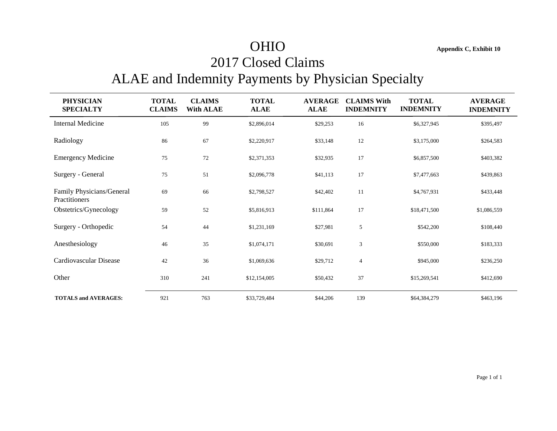## OHIO **Appendix C, Exhibit 10**

## 2017 Closed Claims

## ALAE and Indemnity Payments by Physician Specialty

| <b>PHYSICIAN</b><br><b>SPECIALTY</b>       | <b>TOTAL</b><br><b>CLAIMS</b> | <b>CLAIMS</b><br><b>With ALAE</b> | <b>TOTAL</b><br><b>ALAE</b> | <b>AVERAGE</b><br><b>ALAE</b> | <b>CLAIMS With</b><br><b>INDEMNITY</b> | <b>TOTAL</b><br><b>INDEMNITY</b> | <b>AVERAGE</b><br><b>INDEMNITY</b> |
|--------------------------------------------|-------------------------------|-----------------------------------|-----------------------------|-------------------------------|----------------------------------------|----------------------------------|------------------------------------|
| <b>Internal Medicine</b>                   | 105                           | 99                                | \$2,896,014                 | \$29,253                      | 16                                     | \$6,327,945                      | \$395,497                          |
| Radiology                                  | 86                            | 67                                | \$2,220,917                 | \$33,148                      | 12                                     | \$3,175,000                      | \$264,583                          |
| <b>Emergency Medicine</b>                  | 75                            | 72                                | \$2,371,353                 | \$32,935                      | 17                                     | \$6,857,500                      | \$403,382                          |
| Surgery - General                          | 75                            | 51                                | \$2,096,778                 | \$41,113                      | 17                                     | \$7,477,663                      | \$439,863                          |
| Family Physicians/General<br>Practitioners | 69                            | 66                                | \$2,798,527                 | \$42,402                      | 11                                     | \$4,767,931                      | \$433,448                          |
| Obstetrics/Gynecology                      | 59                            | 52                                | \$5,816,913                 | \$111,864                     | 17                                     | \$18,471,500                     | \$1,086,559                        |
| Surgery - Orthopedic                       | 54                            | 44                                | \$1,231,169                 | \$27,981                      | 5                                      | \$542,200                        | \$108,440                          |
| Anesthesiology                             | 46                            | 35                                | \$1,074,171                 | \$30,691                      | $\mathfrak{Z}$                         | \$550,000                        | \$183,333                          |
| Cardiovascular Disease                     | 42                            | 36                                | \$1,069,636                 | \$29,712                      | $\overline{4}$                         | \$945,000                        | \$236,250                          |
| Other                                      | 310                           | 241                               | \$12,154,005                | \$50,432                      | 37                                     | \$15,269,541                     | \$412,690                          |
| <b>TOTALS and AVERAGES:</b>                | 921                           | 763                               | \$33,729,484                | \$44,206                      | 139                                    | \$64,384,279                     | \$463,196                          |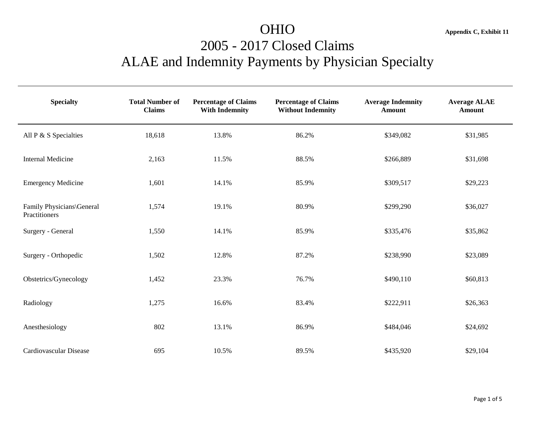## OHIO **Appendix C, Exhibit 11** 2005 - 2017 Closed Claims ALAE and Indemnity Payments by Physician Specialty

| <b>Specialty</b>                           | <b>Total Number of</b><br><b>Claims</b> | <b>Percentage of Claims</b><br><b>With Indemnity</b> | <b>Percentage of Claims</b><br><b>Without Indemnity</b> | <b>Average Indemnity</b><br><b>Amount</b> | <b>Average ALAE</b><br><b>Amount</b> |
|--------------------------------------------|-----------------------------------------|------------------------------------------------------|---------------------------------------------------------|-------------------------------------------|--------------------------------------|
| All P & S Specialties                      | 18,618                                  | 13.8%                                                | 86.2%                                                   | \$349,082                                 | \$31,985                             |
| <b>Internal Medicine</b>                   | 2,163                                   | 11.5%                                                | 88.5%                                                   | \$266,889                                 | \$31,698                             |
| <b>Emergency Medicine</b>                  | 1,601                                   | 14.1%                                                | 85.9%                                                   | \$309,517                                 | \$29,223                             |
| Family Physicians\General<br>Practitioners | 1,574                                   | 19.1%                                                | 80.9%                                                   | \$299,290                                 | \$36,027                             |
| Surgery - General                          | 1,550                                   | 14.1%                                                | 85.9%                                                   | \$335,476                                 | \$35,862                             |
| Surgery - Orthopedic                       | 1,502                                   | 12.8%                                                | 87.2%                                                   | \$238,990                                 | \$23,089                             |
| Obstetrics/Gynecology                      | 1,452                                   | 23.3%                                                | 76.7%                                                   | \$490,110                                 | \$60,813                             |
| Radiology                                  | 1,275                                   | 16.6%                                                | 83.4%                                                   | \$222,911                                 | \$26,363                             |
| Anesthesiology                             | 802                                     | 13.1%                                                | 86.9%                                                   | \$484,046                                 | \$24,692                             |
| Cardiovascular Disease                     | 695                                     | 10.5%                                                | 89.5%                                                   | \$435,920                                 | \$29,104                             |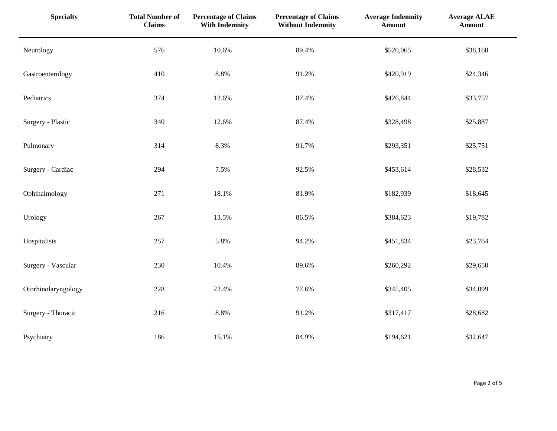| <b>Specialty</b>    | <b>Total Number of</b><br><b>Claims</b> | <b>Percentage of Claims</b><br><b>With Indemnity</b> | <b>Percentage of Claims</b><br><b>Without Indemnity</b> | <b>Average Indemnity</b><br><b>Amount</b> | <b>Average ALAE</b><br><b>Amount</b> |
|---------------------|-----------------------------------------|------------------------------------------------------|---------------------------------------------------------|-------------------------------------------|--------------------------------------|
| Neurology           | 576                                     | 10.6%                                                | 89.4%                                                   | \$520,065                                 | \$38,168                             |
| Gastroenterology    | 410                                     | 8.8%                                                 | 91.2%                                                   | \$420,919                                 | \$24,346                             |
| Pediatrics          | 374                                     | 12.6%                                                | 87.4%                                                   | \$426,844                                 | \$33,757                             |
| Surgery - Plastic   | 340                                     | 12.6%                                                | 87.4%                                                   | \$328,498                                 | \$25,887                             |
| Pulmonary           | 314                                     | 8.3%                                                 | 91.7%                                                   | \$293,351                                 | \$25,751                             |
| Surgery - Cardiac   | 294                                     | 7.5%                                                 | 92.5%                                                   | \$453,614                                 | \$28,532                             |
| Ophthalmology       | 271                                     | 18.1%                                                | 81.9%                                                   | \$182,939                                 | \$18,645                             |
| Urology             | 267                                     | 13.5%                                                | 86.5%                                                   | \$384,623                                 | \$19,782                             |
| Hospitalists        | 257                                     | 5.8%                                                 | 94.2%                                                   | \$451,834                                 | \$23,764                             |
| Surgery - Vascular  | 230                                     | 10.4%                                                | 89.6%                                                   | \$260,292                                 | \$29,650                             |
| Otorhinolaryngology | 228                                     | 22.4%                                                | 77.6%                                                   | \$345,405                                 | \$34,099                             |
| Surgery - Thoracic  | 216                                     | $8.8\%$                                              | 91.2%                                                   | \$317,417                                 | \$28,682                             |
| Psychiatry          | 186                                     | 15.1%                                                | 84.9%                                                   | \$194,621                                 | \$32,647                             |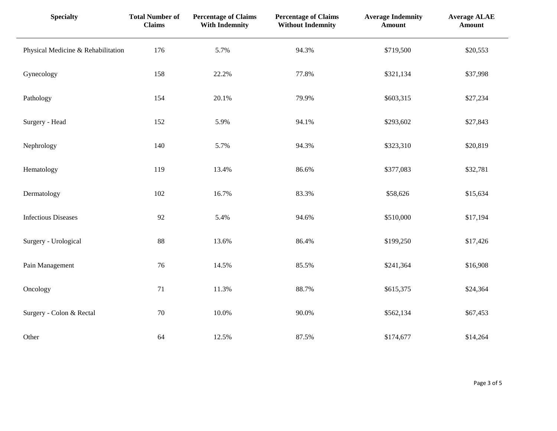| <b>Specialty</b>                   | <b>Total Number of</b><br><b>Claims</b> | <b>Percentage of Claims</b><br><b>With Indemnity</b> | <b>Percentage of Claims</b><br><b>Without Indemnity</b> | <b>Average Indemnity</b><br><b>Amount</b> | <b>Average ALAE</b><br><b>Amount</b> |
|------------------------------------|-----------------------------------------|------------------------------------------------------|---------------------------------------------------------|-------------------------------------------|--------------------------------------|
| Physical Medicine & Rehabilitation | 176                                     | 5.7%                                                 | 94.3%                                                   | \$719,500                                 | \$20,553                             |
| Gynecology                         | 158                                     | 22.2%                                                | 77.8%                                                   | \$321,134                                 | \$37,998                             |
| Pathology                          | 154                                     | 20.1%                                                | 79.9%                                                   | \$603,315                                 | \$27,234                             |
| Surgery - Head                     | 152                                     | 5.9%                                                 | 94.1%                                                   | \$293,602                                 | \$27,843                             |
| Nephrology                         | 140                                     | 5.7%                                                 | 94.3%                                                   | \$323,310                                 | \$20,819                             |
| Hematology                         | 119                                     | 13.4%                                                | 86.6%                                                   | \$377,083                                 | \$32,781                             |
| Dermatology                        | 102                                     | 16.7%                                                | 83.3%                                                   | \$58,626                                  | \$15,634                             |
| <b>Infectious Diseases</b>         | 92                                      | 5.4%                                                 | 94.6%                                                   | \$510,000                                 | \$17,194                             |
| Surgery - Urological               | 88                                      | 13.6%                                                | 86.4%                                                   | \$199,250                                 | \$17,426                             |
| Pain Management                    | 76                                      | 14.5%                                                | 85.5%                                                   | \$241,364                                 | \$16,908                             |
| Oncology                           | 71                                      | 11.3%                                                | 88.7%                                                   | \$615,375                                 | \$24,364                             |
| Surgery - Colon & Rectal           | 70                                      | 10.0%                                                | 90.0%                                                   | \$562,134                                 | \$67,453                             |
| Other                              | 64                                      | 12.5%                                                | 87.5%                                                   | \$174,677                                 | \$14,264                             |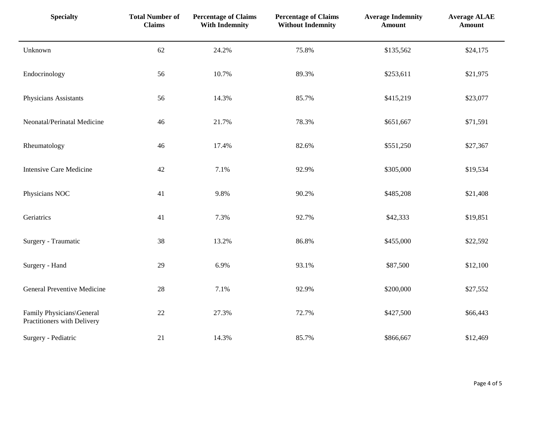| <b>Specialty</b>                                         | <b>Total Number of</b><br><b>Claims</b> | <b>Percentage of Claims</b><br><b>With Indemnity</b> | <b>Percentage of Claims</b><br><b>Without Indemnity</b> | <b>Average Indemnity</b><br><b>Amount</b> | <b>Average ALAE</b><br><b>Amount</b> |
|----------------------------------------------------------|-----------------------------------------|------------------------------------------------------|---------------------------------------------------------|-------------------------------------------|--------------------------------------|
| Unknown                                                  | 62                                      | 24.2%                                                | 75.8%                                                   | \$135,562                                 | \$24,175                             |
| Endocrinology                                            | 56                                      | 10.7%                                                | 89.3%                                                   | \$253,611                                 | \$21,975                             |
| Physicians Assistants                                    | 56                                      | 14.3%                                                | 85.7%                                                   | \$415,219                                 | \$23,077                             |
| Neonatal/Perinatal Medicine                              | 46                                      | 21.7%                                                | 78.3%                                                   | \$651,667                                 | \$71,591                             |
| Rheumatology                                             | 46                                      | 17.4%                                                | 82.6%                                                   | \$551,250                                 | \$27,367                             |
| <b>Intensive Care Medicine</b>                           | 42                                      | 7.1%                                                 | 92.9%                                                   | \$305,000                                 | \$19,534                             |
| Physicians NOC                                           | 41                                      | 9.8%                                                 | 90.2%                                                   | \$485,208                                 | \$21,408                             |
| Geriatrics                                               | 41                                      | 7.3%                                                 | 92.7%                                                   | \$42,333                                  | \$19,851                             |
| Surgery - Traumatic                                      | 38                                      | 13.2%                                                | 86.8%                                                   | \$455,000                                 | \$22,592                             |
| Surgery - Hand                                           | 29                                      | 6.9%                                                 | 93.1%                                                   | \$87,500                                  | \$12,100                             |
| <b>General Preventive Medicine</b>                       | 28                                      | 7.1%                                                 | 92.9%                                                   | \$200,000                                 | \$27,552                             |
| Family Physicians\General<br>Practitioners with Delivery | 22                                      | 27.3%                                                | 72.7%                                                   | \$427,500                                 | \$66,443                             |
| Surgery - Pediatric                                      | 21                                      | 14.3%                                                | 85.7%                                                   | \$866,667                                 | \$12,469                             |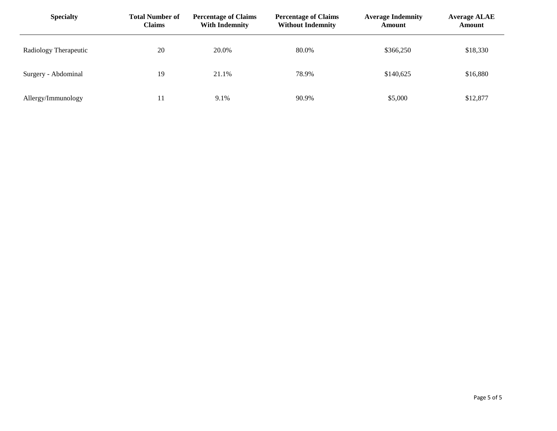| <b>Specialty</b>      | <b>Total Number of</b><br><b>Claims</b> | <b>Percentage of Claims</b><br><b>With Indemnity</b> | <b>Percentage of Claims</b><br><b>Without Indemnity</b> | <b>Average Indemnity</b><br><b>Amount</b> | <b>Average ALAE</b><br><b>Amount</b> |
|-----------------------|-----------------------------------------|------------------------------------------------------|---------------------------------------------------------|-------------------------------------------|--------------------------------------|
| Radiology Therapeutic | 20                                      | 20.0%                                                | 80.0%                                                   | \$366,250                                 | \$18,330                             |
| Surgery - Abdominal   | 19                                      | 21.1%                                                | 78.9%                                                   | \$140,625                                 | \$16,880                             |
| Allergy/Immunology    |                                         | 9.1%                                                 | 90.9%                                                   | \$5,000                                   | \$12,877                             |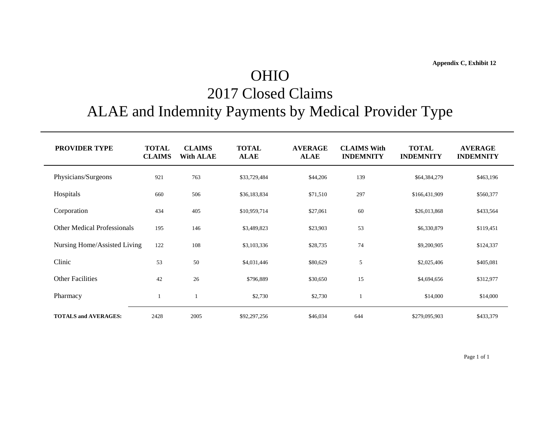## OHIO

## 2017 Closed Claims

## ALAE and Indemnity Payments by Medical Provider Type

| <b>PROVIDER TYPE</b>               | <b>TOTAL</b><br><b>CLAIMS</b> | <b>CLAIMS</b><br><b>With ALAE</b> | <b>TOTAL</b><br><b>ALAE</b> | <b>AVERAGE</b><br><b>ALAE</b> | <b>CLAIMS With</b><br><b>INDEMNITY</b> | <b>TOTAL</b><br><b>INDEMNITY</b> | <b>AVERAGE</b><br><b>INDEMNITY</b> |
|------------------------------------|-------------------------------|-----------------------------------|-----------------------------|-------------------------------|----------------------------------------|----------------------------------|------------------------------------|
| Physicians/Surgeons                | 921                           | 763                               | \$33,729,484                | \$44,206                      | 139                                    | \$64,384,279                     | \$463,196                          |
| Hospitals                          | 660                           | 506                               | \$36,183,834                | \$71,510                      | 297                                    | \$166,431,909                    | \$560,377                          |
| Corporation                        | 434                           | 405                               | \$10,959,714                | \$27,061                      | 60                                     | \$26,013,868                     | \$433,564                          |
| <b>Other Medical Professionals</b> | 195                           | 146                               | \$3,489,823                 | \$23,903                      | 53                                     | \$6,330,879                      | \$119,451                          |
| Nursing Home/Assisted Living       | 122                           | 108                               | \$3,103,336                 | \$28,735                      | 74                                     | \$9,200,905                      | \$124,337                          |
| Clinic                             | 53                            | 50                                | \$4,031,446                 | \$80,629                      | 5                                      | \$2,025,406                      | \$405,081                          |
| <b>Other Facilities</b>            | 42                            | 26                                | \$796,889                   | \$30,650                      | 15                                     | \$4,694,656                      | \$312,977                          |
| Pharmacy                           |                               |                                   | \$2,730                     | \$2,730                       |                                        | \$14,000                         | \$14,000                           |
| <b>TOTALS and AVERAGES:</b>        | 2428                          | 2005                              | \$92,297,256                | \$46,034                      | 644                                    | \$279,095,903                    | \$433,379                          |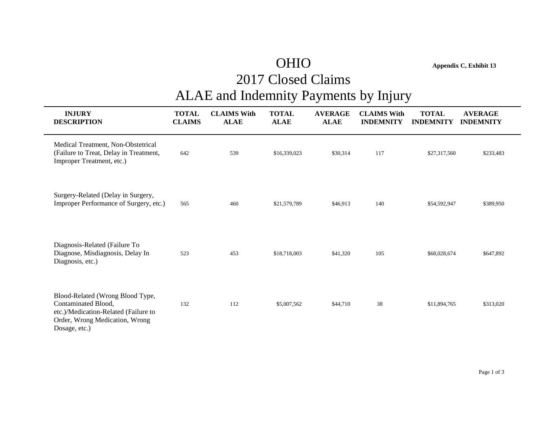## OHIO **Appendix C, Exhibit 13**

## 2017 Closed Claims

## ALAE and Indemnity Payments by Injury

| <b>INJURY</b><br><b>DESCRIPTION</b>                                                                                                                | <b>TOTAL</b><br><b>CLAIMS</b> | <b>CLAIMS With</b><br><b>ALAE</b> | <b>TOTAL</b><br><b>ALAE</b> | <b>AVERAGE</b><br><b>ALAE</b> | <b>CLAIMS With</b><br><b>INDEMNITY</b> | <b>TOTAL</b><br><b>INDEMNITY</b> | <b>AVERAGE</b><br><b>INDEMNITY</b> |  |
|----------------------------------------------------------------------------------------------------------------------------------------------------|-------------------------------|-----------------------------------|-----------------------------|-------------------------------|----------------------------------------|----------------------------------|------------------------------------|--|
| Medical Treatment, Non-Obstetrical<br>(Failure to Treat, Delay in Treatment,<br>Improper Treatment, etc.)                                          | 642                           | 539                               | \$16,339,023                | \$30,314                      | 117                                    | \$27,317,560                     | \$233,483                          |  |
| Surgery-Related (Delay in Surgery,<br>Improper Performance of Surgery, etc.)                                                                       | 565                           | 460                               | \$21,579,789                | \$46,913                      | 140                                    | \$54,592,947                     | \$389,950                          |  |
| Diagnosis-Related (Failure To<br>Diagnose, Misdiagnosis, Delay In<br>Diagnosis, etc.)                                                              | 523                           | 453                               | \$18,718,003                | \$41,320                      | 105                                    | \$68,028,674                     | \$647,892                          |  |
| Blood-Related (Wrong Blood Type,<br>Contaminated Blood,<br>etc.)/Medication-Related (Failure to<br>Order, Wrong Medication, Wrong<br>Dosage, etc.) | 132                           | 112                               | \$5,007,562                 | \$44,710                      | 38                                     | \$11,894,765                     | \$313,020                          |  |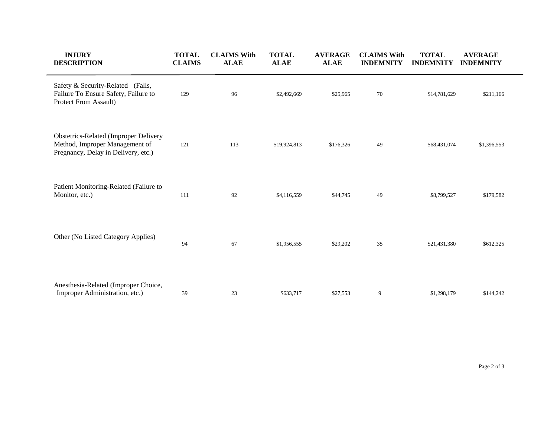| <b>INJURY</b><br><b>DESCRIPTION</b>                                                                                   | <b>TOTAL</b><br><b>CLAIMS</b> | <b>CLAIMS With</b><br><b>ALAE</b> | <b>TOTAL</b><br><b>ALAE</b> | <b>AVERAGE</b><br><b>ALAE</b> | <b>CLAIMS With</b><br><b>INDEMNITY</b> | <b>TOTAL</b><br><b>INDEMNITY</b> | <b>AVERAGE</b><br><b>INDEMNITY</b> |
|-----------------------------------------------------------------------------------------------------------------------|-------------------------------|-----------------------------------|-----------------------------|-------------------------------|----------------------------------------|----------------------------------|------------------------------------|
| Safety & Security-Related (Falls,<br>Failure To Ensure Safety, Failure to<br>Protect From Assault)                    | 129                           | 96                                | \$2,492,669                 | \$25,965                      | 70                                     | \$14,781,629                     | \$211,166                          |
| <b>Obstetrics-Related (Improper Delivery</b><br>Method, Improper Management of<br>Pregnancy, Delay in Delivery, etc.) | 121                           | 113                               | \$19,924,813                | \$176,326                     | 49                                     | \$68,431,074                     | \$1,396,553                        |
| Patient Monitoring-Related (Failure to<br>Monitor, etc.)                                                              | 111                           | 92                                | \$4,116,559                 | \$44,745                      | 49                                     | \$8,799,527                      | \$179,582                          |
| Other (No Listed Category Applies)                                                                                    | 94                            | 67                                | \$1,956,555                 | \$29,202                      | 35                                     | \$21,431,380                     | \$612,325                          |
| Anesthesia-Related (Improper Choice,<br>Improper Administration, etc.)                                                | 39                            | 23                                | \$633,717                   | \$27,553                      | 9                                      | \$1,298,179                      | \$144,242                          |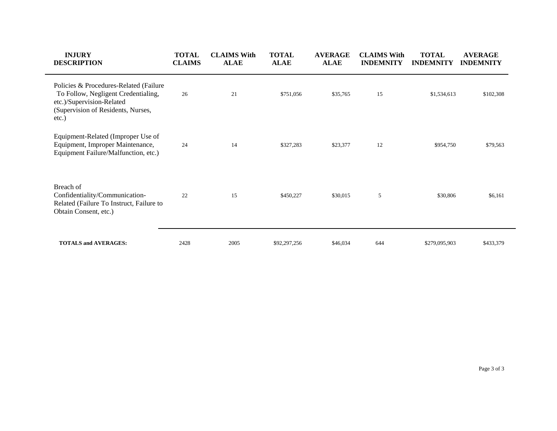| <b>INJURY</b><br><b>DESCRIPTION</b>                                                                                                                       | <b>TOTAL</b><br><b>CLAIMS</b> | <b>CLAIMS With</b><br><b>ALAE</b> | <b>TOTAL</b><br><b>ALAE</b> | <b>AVERAGE</b><br><b>ALAE</b> | <b>CLAIMS With</b><br><b>INDEMNITY</b> | <b>TOTAL</b><br><b>INDEMNITY</b> | <b>AVERAGE</b><br><b>INDEMNITY</b> |
|-----------------------------------------------------------------------------------------------------------------------------------------------------------|-------------------------------|-----------------------------------|-----------------------------|-------------------------------|----------------------------------------|----------------------------------|------------------------------------|
| Policies & Procedures-Related (Failure<br>To Follow, Negligent Credentialing,<br>etc.)/Supervision-Related<br>(Supervision of Residents, Nurses,<br>etc.) | 26                            | 21                                | \$751,056                   | \$35,765                      | 15                                     | \$1,534,613                      | \$102,308                          |
| Equipment-Related (Improper Use of<br>Equipment, Improper Maintenance,<br>Equipment Failure/Malfunction, etc.)                                            | 24                            | 14                                | \$327,283                   | \$23,377                      | 12                                     | \$954,750                        | \$79,563                           |
| Breach of<br>Confidentiality/Communication-<br>Related (Failure To Instruct, Failure to<br>Obtain Consent, etc.)                                          | 22                            | 15                                | \$450,227                   | \$30,015                      | 5                                      | \$30,806                         | \$6,161                            |
| <b>TOTALS and AVERAGES:</b>                                                                                                                               | 2428                          | 2005                              | \$92,297,256                | \$46,034                      | 644                                    | \$279,095,903                    | \$433,379                          |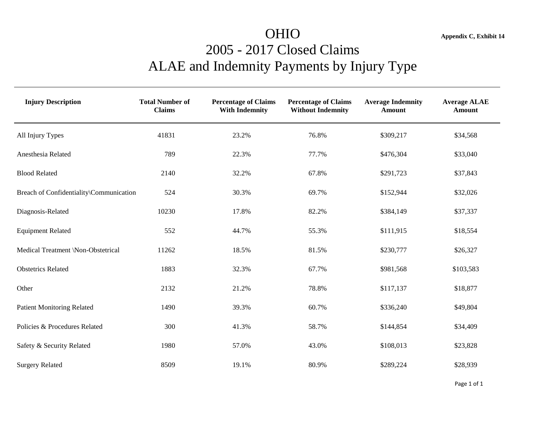## OHIO **Appendix C, Exhibit 14** 2005 - 2017 Closed Claims ALAE and Indemnity Payments by Injury Type

| <b>Injury Description</b>               | <b>Total Number of</b><br><b>Claims</b> | <b>Percentage of Claims</b><br><b>With Indemnity</b> | <b>Percentage of Claims</b><br><b>Without Indemnity</b> | <b>Average Indemnity</b><br><b>Amount</b> | <b>Average ALAE</b><br><b>Amount</b> |
|-----------------------------------------|-----------------------------------------|------------------------------------------------------|---------------------------------------------------------|-------------------------------------------|--------------------------------------|
| All Injury Types                        | 41831                                   | 23.2%                                                | 76.8%                                                   | \$309,217                                 | \$34,568                             |
| Anesthesia Related                      | 789                                     | 22.3%                                                | 77.7%                                                   | \$476,304                                 | \$33,040                             |
| <b>Blood Related</b>                    | 2140                                    | 32.2%                                                | 67.8%                                                   | \$291,723                                 | \$37,843                             |
| Breach of Confidentiality\Communication | 524                                     | 30.3%                                                | 69.7%                                                   | \$152,944                                 | \$32,026                             |
| Diagnosis-Related                       | 10230                                   | 17.8%                                                | 82.2%                                                   | \$384,149                                 | \$37,337                             |
| <b>Equipment Related</b>                | 552                                     | 44.7%                                                | 55.3%                                                   | \$111,915                                 | \$18,554                             |
| Medical Treatment \Non-Obstetrical      | 11262                                   | 18.5%                                                | 81.5%                                                   | \$230,777                                 | \$26,327                             |
| <b>Obstetrics Related</b>               | 1883                                    | 32.3%                                                | 67.7%                                                   | \$981,568                                 | \$103,583                            |
| Other                                   | 2132                                    | 21.2%                                                | 78.8%                                                   | \$117,137                                 | \$18,877                             |
| <b>Patient Monitoring Related</b>       | 1490                                    | 39.3%                                                | 60.7%                                                   | \$336,240                                 | \$49,804                             |
| Policies & Procedures Related           | 300                                     | 41.3%                                                | 58.7%                                                   | \$144,854                                 | \$34,409                             |
| Safety & Security Related               | 1980                                    | 57.0%                                                | 43.0%                                                   | \$108,013                                 | \$23,828                             |
| <b>Surgery Related</b>                  | 8509                                    | 19.1%                                                | 80.9%                                                   | \$289,224                                 | \$28,939                             |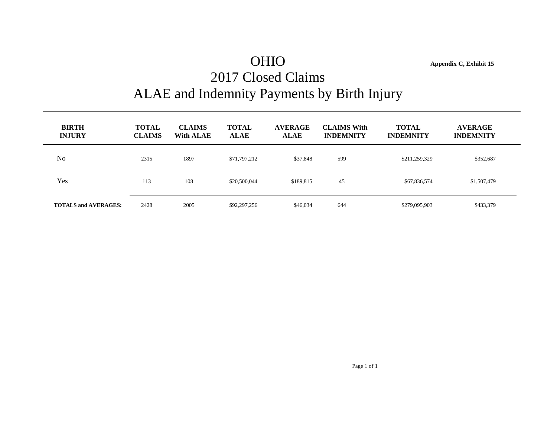## OHIO **Appendix C, Exhibit 15** 2017 Closed Claims ALAE and Indemnity Payments by Birth Injury

| <b>BIRTH</b><br><b>INJURY</b> | <b>TOTAL</b><br><b>CLAIMS</b> | <b>CLAIMS</b><br>With ALAE | <b>TOTAL</b><br><b>ALAE</b> | <b>AVERAGE</b><br><b>ALAE</b> | <b>CLAIMS With</b><br><b>INDEMNITY</b> | <b>TOTAL</b><br><b>INDEMNITY</b> | <b>AVERAGE</b><br><b>INDEMNITY</b> |  |
|-------------------------------|-------------------------------|----------------------------|-----------------------------|-------------------------------|----------------------------------------|----------------------------------|------------------------------------|--|
| No                            | 2315                          | 1897                       | \$71,797,212                | \$37,848                      | 599                                    | \$211,259,329                    | \$352,687                          |  |
| Yes                           | 113                           | 108                        | \$20,500,044                | \$189,815                     | 45                                     | \$67,836,574                     | \$1,507,479                        |  |
| <b>TOTALS and AVERAGES:</b>   | 2428                          | 2005                       | \$92,297,256                | \$46,034                      | 644                                    | \$279,095,903                    | \$433,379                          |  |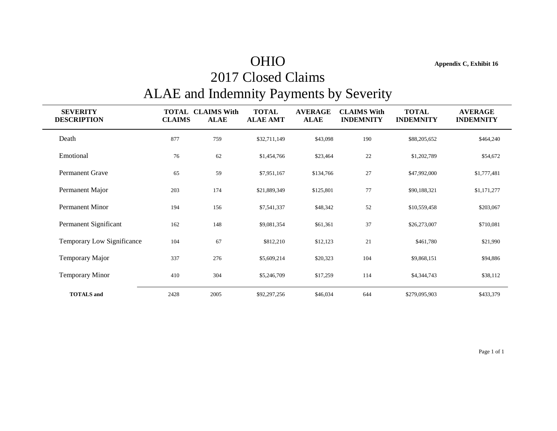## OHIO **Appendix C, Exhibit 16**

## 2017 Closed Claims ALAE and Indemnity Payments by Severity

| <b>SEVERITY</b><br><b>DESCRIPTION</b> | TOTAL<br><b>CLAIMS</b> | <b>CLAIMS With</b><br><b>ALAE</b> | <b>TOTAL</b><br><b>ALAE AMT</b> | <b>AVERAGE</b><br><b>ALAE</b> | <b>CLAIMS With</b><br><b>INDEMNITY</b> | <b>TOTAL</b><br><b>INDEMNITY</b> | <b>AVERAGE</b><br><b>INDEMNITY</b> |
|---------------------------------------|------------------------|-----------------------------------|---------------------------------|-------------------------------|----------------------------------------|----------------------------------|------------------------------------|
| Death                                 | 877                    | 759                               | \$32,711,149                    | \$43,098                      | 190                                    | \$88,205,652                     | \$464,240                          |
| Emotional                             | 76                     | 62                                | \$1,454,766                     | \$23,464                      | 22                                     | \$1,202,789                      | \$54,672                           |
| <b>Permanent Grave</b>                | 65                     | 59                                | \$7,951,167                     | \$134,766                     | 27                                     | \$47,992,000                     | \$1,777,481                        |
| Permanent Major                       | 203                    | 174                               | \$21,889,349                    | \$125,801                     | $77\,$                                 | \$90,188,321                     | \$1,171,277                        |
| Permanent Minor                       | 194                    | 156                               | \$7,541,337                     | \$48,342                      | 52                                     | \$10,559,458                     | \$203,067                          |
| Permanent Significant                 | 162                    | 148                               | \$9,081,354                     | \$61,361                      | 37                                     | \$26,273,007                     | \$710,081                          |
| Temporary Low Significance            | 104                    | 67                                | \$812,210                       | \$12,123                      | 21                                     | \$461,780                        | \$21,990                           |
| Temporary Major                       | 337                    | 276                               | \$5,609,214                     | \$20,323                      | 104                                    | \$9,868,151                      | \$94,886                           |
| <b>Temporary Minor</b>                | 410                    | 304                               | \$5,246,709                     | \$17,259                      | 114                                    | \$4,344,743                      | \$38,112                           |
| <b>TOTALS</b> and                     | 2428                   | 2005                              | \$92,297,256                    | \$46,034                      | 644                                    | \$279,095,903                    | \$433,379                          |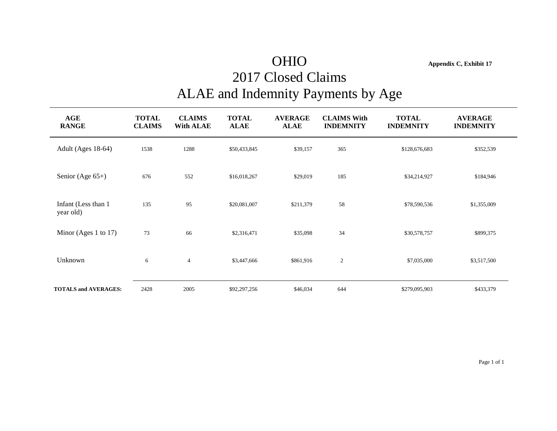## OHIO **Appendix C, Exhibit 17**

## 2017 Closed Claims ALAE and Indemnity Payments by Age

| AGE<br><b>RANGE</b>              | <b>TOTAL</b><br><b>CLAIMS</b> | <b>CLAIMS</b><br><b>With ALAE</b> | <b>TOTAL</b><br><b>ALAE</b> | <b>AVERAGE</b><br><b>ALAE</b> | <b>CLAIMS With</b><br><b>INDEMNITY</b> | <b>TOTAL</b><br><b>INDEMNITY</b> | <b>AVERAGE</b><br><b>INDEMNITY</b> |
|----------------------------------|-------------------------------|-----------------------------------|-----------------------------|-------------------------------|----------------------------------------|----------------------------------|------------------------------------|
| Adult (Ages 18-64)               | 1538                          | 1288                              | \$50,433,845                | \$39,157                      | 365                                    | \$128,676,683                    | \$352,539                          |
| Senior (Age $65+$ )              | 676                           | 552                               | \$16,018,267                | \$29,019                      | 185                                    | \$34,214,927                     | \$184,946                          |
| Infant (Less than 1<br>year old) | 135                           | 95                                | \$20,081,007                | \$211,379                     | 58                                     | \$78,590,536                     | \$1,355,009                        |
| Minor (Ages 1 to 17)             | 73                            | 66                                | \$2,316,471                 | \$35,098                      | 34                                     | \$30,578,757                     | \$899,375                          |
| Unknown                          | 6                             | $\overline{4}$                    | \$3,447,666                 | \$861,916                     | $\overline{2}$                         | \$7,035,000                      | \$3,517,500                        |
| <b>TOTALS and AVERAGES:</b>      | 2428                          | 2005                              | \$92,297,256                | \$46,034                      | 644                                    | \$279,095,903                    | \$433,379                          |

Page 1 of 1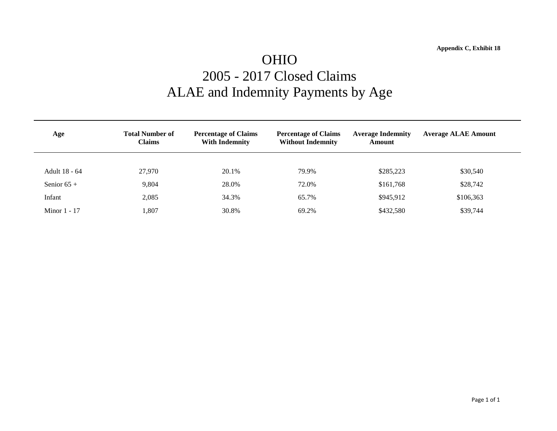## OHIO 2005 - 2017 Closed Claims ALAE and Indemnity Payments by Age

| Age            | <b>Total Number of</b><br><b>Claims</b> | <b>Percentage of Claims</b><br><b>With Indemnity</b> | <b>Percentage of Claims</b><br><b>Without Indemnity</b> | <b>Average Indemnity</b><br>Amount | <b>Average ALAE Amount</b> |
|----------------|-----------------------------------------|------------------------------------------------------|---------------------------------------------------------|------------------------------------|----------------------------|
|                |                                         |                                                      |                                                         |                                    |                            |
| Adult 18 - 64  | 27.970                                  | 20.1%                                                | 79.9%                                                   | \$285,223                          | \$30,540                   |
| Senior $65 +$  | 9,804                                   | 28.0%                                                | 72.0%                                                   | \$161,768                          | \$28,742                   |
| Infant         | 2,085                                   | 34.3%                                                | 65.7%                                                   | \$945,912                          | \$106,363                  |
| Minor $1 - 17$ | ,807                                    | 30.8%                                                | 69.2%                                                   | \$432,580                          | \$39,744                   |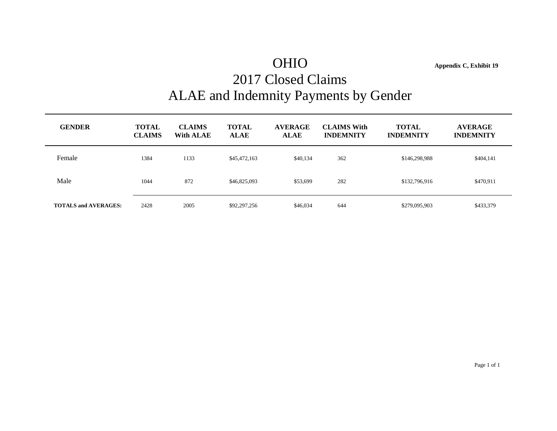## OHIO **Appendix C, Exhibit 19** 2017 Closed Claims ALAE and Indemnity Payments by Gender

**GENDER TOTAL CLAIMS TOTAL AVERAGE CLAIMS With TOTAL AVERAGE CLAIMS With ALAE ALAE ALAE INDEMNITY INDEMNITY INDEMNITY** Female 1384 1133 \$45,472,163 \$40,134 362 \$146,298,988 \$404,141 Male 1044 872 \$46,825,093 \$53,699 282 \$132,796,916 \$470,911 **TOTALS and AVERAGES:** 2428 2005 \$92,297,256 \$46,034 644 \$279,095,903 \$433,379

Page 1 of 1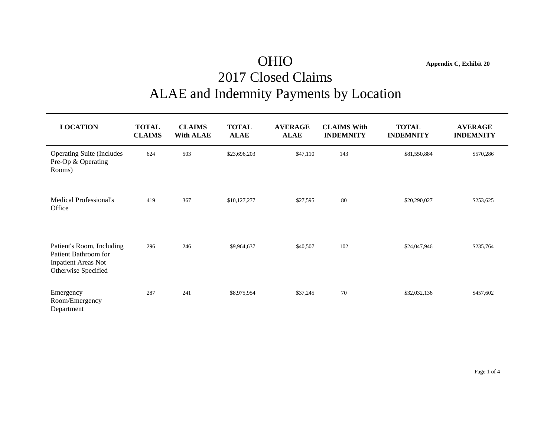## OHIO **Appendix C, Exhibit 20** 2017 Closed Claims ALAE and Indemnity Payments by Location

| <b>LOCATION</b>                                                                                        | <b>TOTAL</b><br><b>CLAIMS</b> | <b>CLAIMS</b><br><b>With ALAE</b> | <b>TOTAL</b><br><b>ALAE</b> | <b>AVERAGE</b><br><b>ALAE</b> | <b>CLAIMS With</b><br><b>INDEMNITY</b> | <b>TOTAL</b><br><b>INDEMNITY</b> | <b>AVERAGE</b><br><b>INDEMNITY</b> |
|--------------------------------------------------------------------------------------------------------|-------------------------------|-----------------------------------|-----------------------------|-------------------------------|----------------------------------------|----------------------------------|------------------------------------|
| <b>Operating Suite (Includes)</b><br>Pre-Op & Operating<br>Rooms)                                      | 624                           | 503                               | \$23,696,203                | \$47,110                      | 143                                    | \$81,550,884                     | \$570,286                          |
| <b>Medical Professional's</b><br>Office                                                                | 419                           | 367                               | \$10,127,277                | \$27,595                      | 80                                     | \$20,290,027                     | \$253,625                          |
| Patient's Room, Including<br>Patient Bathroom for<br><b>Inpatient Areas Not</b><br>Otherwise Specified | 296                           | 246                               | \$9,964,637                 | \$40,507                      | 102                                    | \$24,047,946                     | \$235,764                          |
| Emergency<br>Room/Emergency<br>Department                                                              | 287                           | 241                               | \$8,975,954                 | \$37,245                      | 70                                     | \$32,032,136                     | \$457,602                          |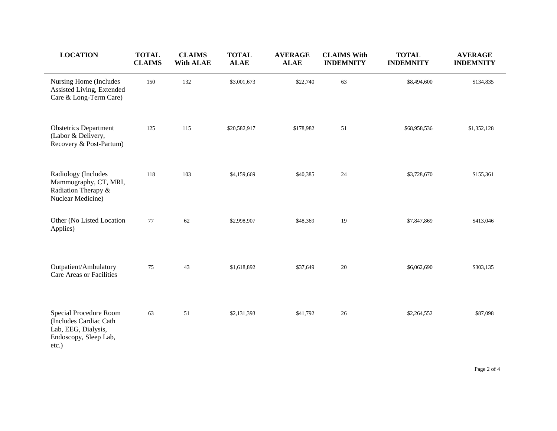| <b>LOCATION</b>                                                                                           | <b>TOTAL</b><br><b>CLAIMS</b> | <b>CLAIMS</b><br><b>With ALAE</b> | <b>TOTAL</b><br><b>ALAE</b> | <b>AVERAGE</b><br><b>ALAE</b> | <b>CLAIMS With</b><br><b>INDEMNITY</b> | <b>TOTAL</b><br><b>INDEMNITY</b> | <b>AVERAGE</b><br><b>INDEMNITY</b> |
|-----------------------------------------------------------------------------------------------------------|-------------------------------|-----------------------------------|-----------------------------|-------------------------------|----------------------------------------|----------------------------------|------------------------------------|
| Nursing Home (Includes<br>Assisted Living, Extended<br>Care & Long-Term Care)                             | 150                           | 132                               | \$3,001,673                 | \$22,740                      | 63                                     | \$8,494,600                      | \$134,835                          |
| <b>Obstetrics Department</b><br>(Labor & Delivery,<br>Recovery & Post-Partum)                             | 125                           | 115                               | \$20,582,917                | \$178,982                     | 51                                     | \$68,958,536                     | \$1,352,128                        |
| Radiology (Includes<br>Mammography, CT, MRI,<br>Radiation Therapy &<br>Nuclear Medicine)                  | 118                           | 103                               | \$4,159,669                 | \$40,385                      | 24                                     | \$3,728,670                      | \$155,361                          |
| Other (No Listed Location<br>Applies)                                                                     | 77                            | 62                                | \$2,998,907                 | \$48,369                      | 19                                     | \$7,847,869                      | \$413,046                          |
| Outpatient/Ambulatory<br>Care Areas or Facilities                                                         | 75                            | 43                                | \$1,618,892                 | \$37,649                      | 20                                     | \$6,062,690                      | \$303,135                          |
| Special Procedure Room<br>(Includes Cardiac Cath<br>Lab, EEG, Dialysis,<br>Endoscopy, Sleep Lab,<br>etc.) | 63                            | 51                                | \$2,131,393                 | \$41,792                      | $26\,$                                 | \$2,264,552                      | \$87,098                           |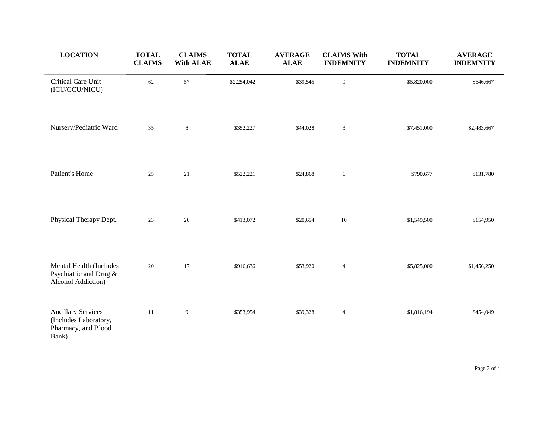| <b>LOCATION</b>                                                                    | <b>TOTAL</b><br><b>CLAIMS</b> | <b>CLAIMS</b><br><b>With ALAE</b> | <b>TOTAL</b><br><b>ALAE</b> | <b>AVERAGE</b><br><b>ALAE</b> | <b>CLAIMS With</b><br><b>INDEMNITY</b> | <b>TOTAL</b><br><b>INDEMNITY</b> | <b>AVERAGE</b><br><b>INDEMNITY</b> |
|------------------------------------------------------------------------------------|-------------------------------|-----------------------------------|-----------------------------|-------------------------------|----------------------------------------|----------------------------------|------------------------------------|
| Critical Care Unit<br>(ICU/CCU/NICU)                                               | 62                            | 57                                | \$2,254,042                 | \$39,545                      | 9                                      | \$5,820,000                      | \$646,667                          |
| Nursery/Pediatric Ward                                                             | 35                            | $\,8\,$                           | \$352,227                   | \$44,028                      | $\boldsymbol{\mathfrak{Z}}$            | \$7,451,000                      | \$2,483,667                        |
| Patient's Home                                                                     | 25                            | 21                                | \$522,221                   | \$24,868                      | 6                                      | \$790,677                        | \$131,780                          |
| Physical Therapy Dept.                                                             | 23                            | $20\,$                            | \$413,072                   | \$20,654                      | $10\,$                                 | \$1,549,500                      | \$154,950                          |
| Mental Health (Includes<br>Psychiatric and Drug &<br>Alcohol Addiction)            | 20                            | 17                                | \$916,636                   | \$53,920                      | $\sqrt{4}$                             | \$5,825,000                      | \$1,456,250                        |
| <b>Ancillary Services</b><br>(Includes Laboratory,<br>Pharmacy, and Blood<br>Bank) | 11                            | 9                                 | \$353,954                   | \$39,328                      | $\overline{4}$                         | \$1,816,194                      | \$454,049                          |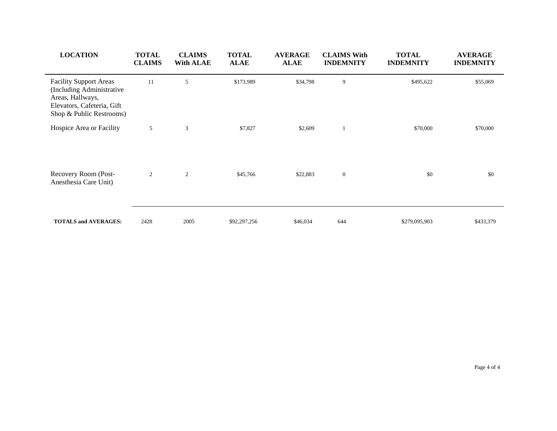| <b>LOCATION</b>                                                                                                                          | <b>TOTAL</b><br><b>CLAIMS</b> | <b>CLAIMS</b><br><b>With ALAE</b> | <b>TOTAL</b><br><b>ALAE</b> | <b>AVERAGE</b><br><b>ALAE</b> | <b>CLAIMS With</b><br><b>INDEMNITY</b> | <b>TOTAL</b><br><b>INDEMNITY</b> | <b>AVERAGE</b><br><b>INDEMNITY</b> |
|------------------------------------------------------------------------------------------------------------------------------------------|-------------------------------|-----------------------------------|-----------------------------|-------------------------------|----------------------------------------|----------------------------------|------------------------------------|
| <b>Facility Support Areas</b><br>(Including Administrative<br>Areas, Hallways,<br>Elevators, Cafeteria, Gift<br>Shop & Public Restrooms) | 11                            | 5                                 | \$173,989                   | \$34,798                      | 9                                      | \$495,622                        | \$55,069                           |
| Hospice Area or Facility                                                                                                                 | 5                             | 3                                 | \$7,827                     | \$2,609                       |                                        | \$70,000                         | \$70,000                           |
| Recovery Room (Post-<br>Anesthesia Care Unit)                                                                                            | $\overline{2}$                | 2                                 | \$45,766                    | \$22,883                      | $\mathbf{0}$                           | \$0                              | \$0                                |
| <b>TOTALS and AVERAGES:</b>                                                                                                              | 2428                          | 2005                              | \$92,297,256                | \$46,034                      | 644                                    | \$279,095,903                    | \$433,379                          |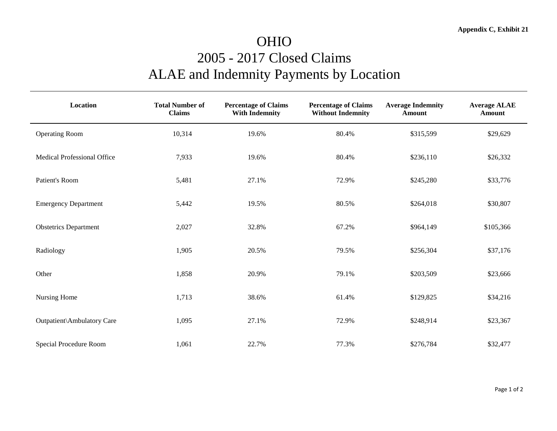## OHIO 2005 - 2017 Closed Claims ALAE and Indemnity Payments by Location

| <b>Location</b>              | <b>Total Number of</b><br><b>Claims</b> | <b>Percentage of Claims</b><br><b>With Indemnity</b> | <b>Percentage of Claims</b><br><b>Without Indemnity</b> | <b>Average Indemnity</b><br><b>Amount</b> | <b>Average ALAE</b><br>Amount |
|------------------------------|-----------------------------------------|------------------------------------------------------|---------------------------------------------------------|-------------------------------------------|-------------------------------|
| <b>Operating Room</b>        | 10,314                                  | 19.6%                                                | 80.4%                                                   | \$315,599                                 | \$29,629                      |
| Medical Professional Office  | 7,933                                   | 19.6%                                                | 80.4%                                                   | \$236,110                                 | \$26,332                      |
| Patient's Room               | 5,481                                   | 27.1%                                                | 72.9%                                                   | \$245,280                                 | \$33,776                      |
| <b>Emergency Department</b>  | 5,442                                   | 19.5%                                                | 80.5%                                                   | \$264,018                                 | \$30,807                      |
| <b>Obstetrics Department</b> | 2,027                                   | 32.8%                                                | 67.2%                                                   | \$964,149                                 | \$105,366                     |
| Radiology                    | 1,905                                   | 20.5%                                                | 79.5%                                                   | \$256,304                                 | \$37,176                      |
| Other                        | 1,858                                   | 20.9%                                                | 79.1%                                                   | \$203,509                                 | \$23,666                      |
| Nursing Home                 | 1,713                                   | 38.6%                                                | 61.4%                                                   | \$129,825                                 | \$34,216                      |
| Outpatient\Ambulatory Care   | 1,095                                   | 27.1%                                                | 72.9%                                                   | \$248,914                                 | \$23,367                      |
| Special Procedure Room       | 1,061                                   | 22.7%                                                | 77.3%                                                   | \$276,784                                 | \$32,477                      |